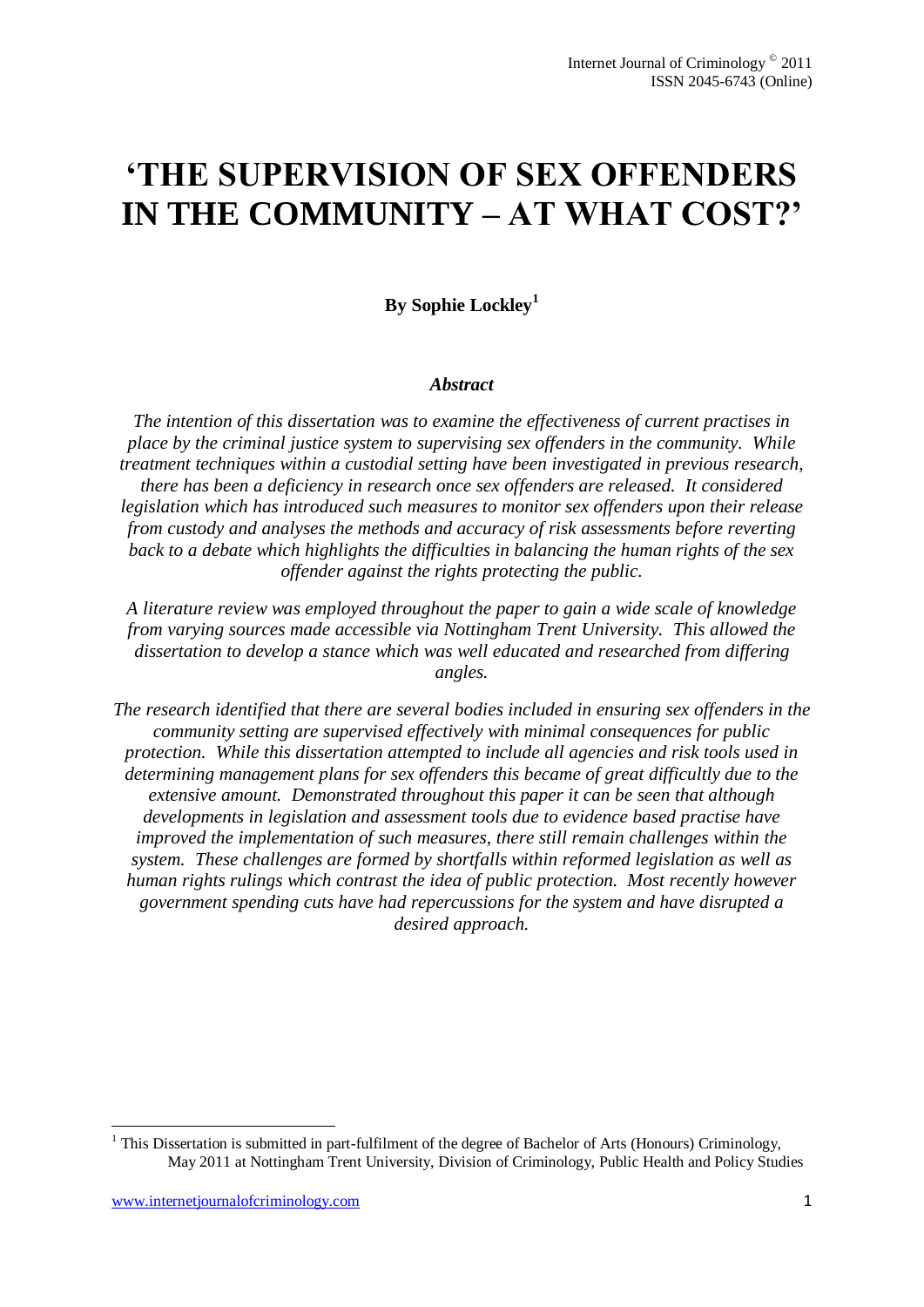# **'THE SUPERVISION OF SEX OFFENDERS IN THE COMMUNITY – AT WHAT COST?'**

**By Sophie Lockley<sup>1</sup>**

#### *Abstract*

*The intention of this dissertation was to examine the effectiveness of current practises in place by the criminal justice system to supervising sex offenders in the community. While treatment techniques within a custodial setting have been investigated in previous research, there has been a deficiency in research once sex offenders are released. It considered legislation which has introduced such measures to monitor sex offenders upon their release from custody and analyses the methods and accuracy of risk assessments before reverting back to a debate which highlights the difficulties in balancing the human rights of the sex offender against the rights protecting the public.*

*A literature review was employed throughout the paper to gain a wide scale of knowledge from varying sources made accessible via Nottingham Trent University. This allowed the dissertation to develop a stance which was well educated and researched from differing angles.*

*The research identified that there are several bodies included in ensuring sex offenders in the community setting are supervised effectively with minimal consequences for public protection. While this dissertation attempted to include all agencies and risk tools used in determining management plans for sex offenders this became of great difficultly due to the extensive amount. Demonstrated throughout this paper it can be seen that although developments in legislation and assessment tools due to evidence based practise have improved the implementation of such measures, there still remain challenges within the system. These challenges are formed by shortfalls within reformed legislation as well as human rights rulings which contrast the idea of public protection. Most recently however government spending cuts have had repercussions for the system and have disrupted a desired approach.*

**.** 

 $1$  This Dissertation is submitted in part-fulfilment of the degree of Bachelor of Arts (Honours) Criminology, May 2011 at Nottingham Trent University, Division of Criminology, Public Health and Policy Studies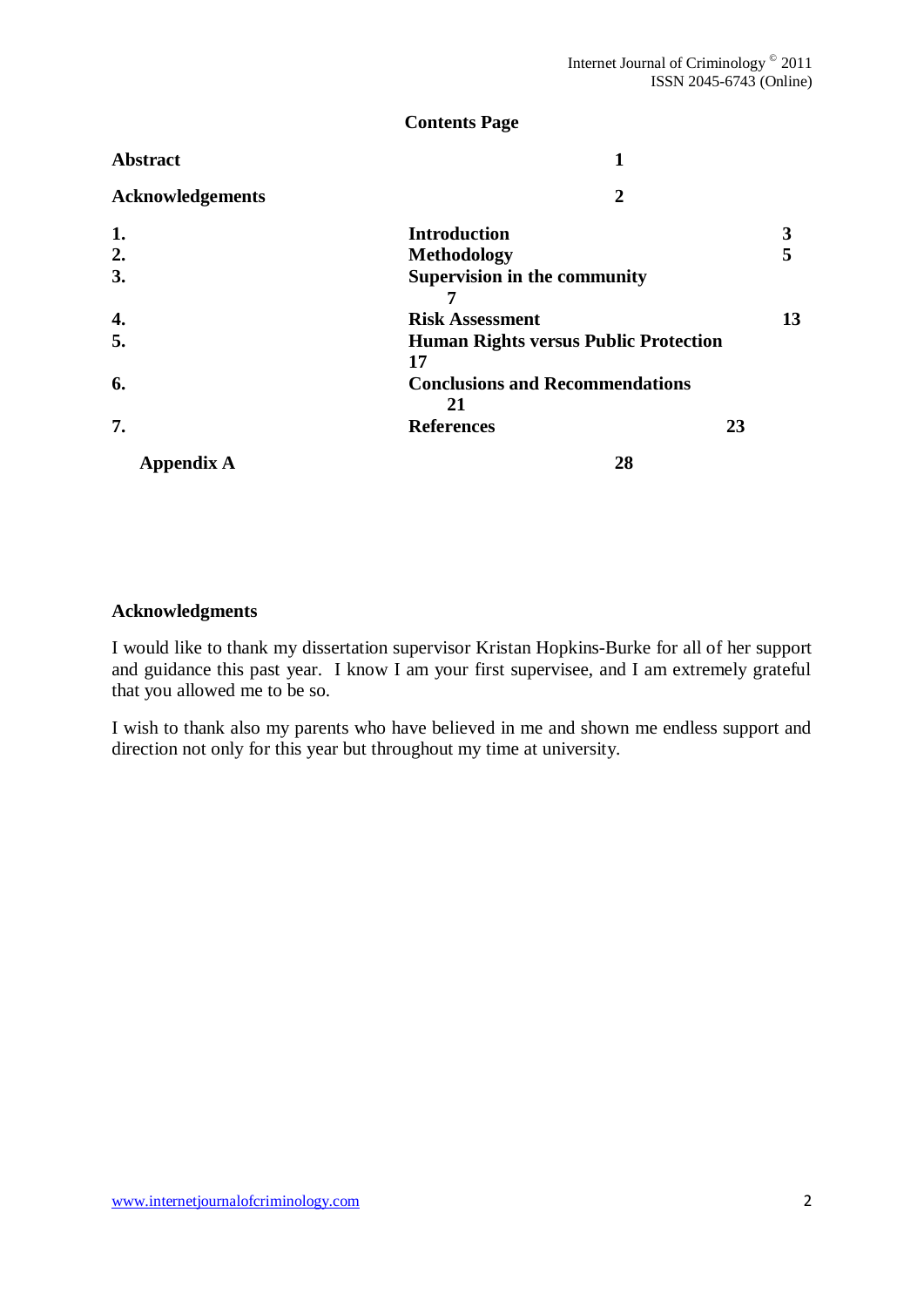#### **Contents Page**

| <b>Abstract</b>         | 1                                                  |    |
|-------------------------|----------------------------------------------------|----|
| <b>Acknowledgements</b> | $\mathbf{2}$                                       |    |
| 1.                      | <b>Introduction</b>                                | 3  |
| 2.                      | <b>Methodology</b>                                 | 5  |
| 3.                      | <b>Supervision in the community</b>                |    |
| 4.                      | <b>Risk Assessment</b>                             | 13 |
| 5.                      | <b>Human Rights versus Public Protection</b><br>17 |    |
| 6.                      | <b>Conclusions and Recommendations</b><br>21       |    |
| 7.                      | <b>References</b><br>23                            |    |
| <b>Appendix A</b>       | 28                                                 |    |

#### **Acknowledgments**

I would like to thank my dissertation supervisor Kristan Hopkins-Burke for all of her support and guidance this past year. I know I am your first supervisee, and I am extremely grateful that you allowed me to be so.

I wish to thank also my parents who have believed in me and shown me endless support and direction not only for this year but throughout my time at university.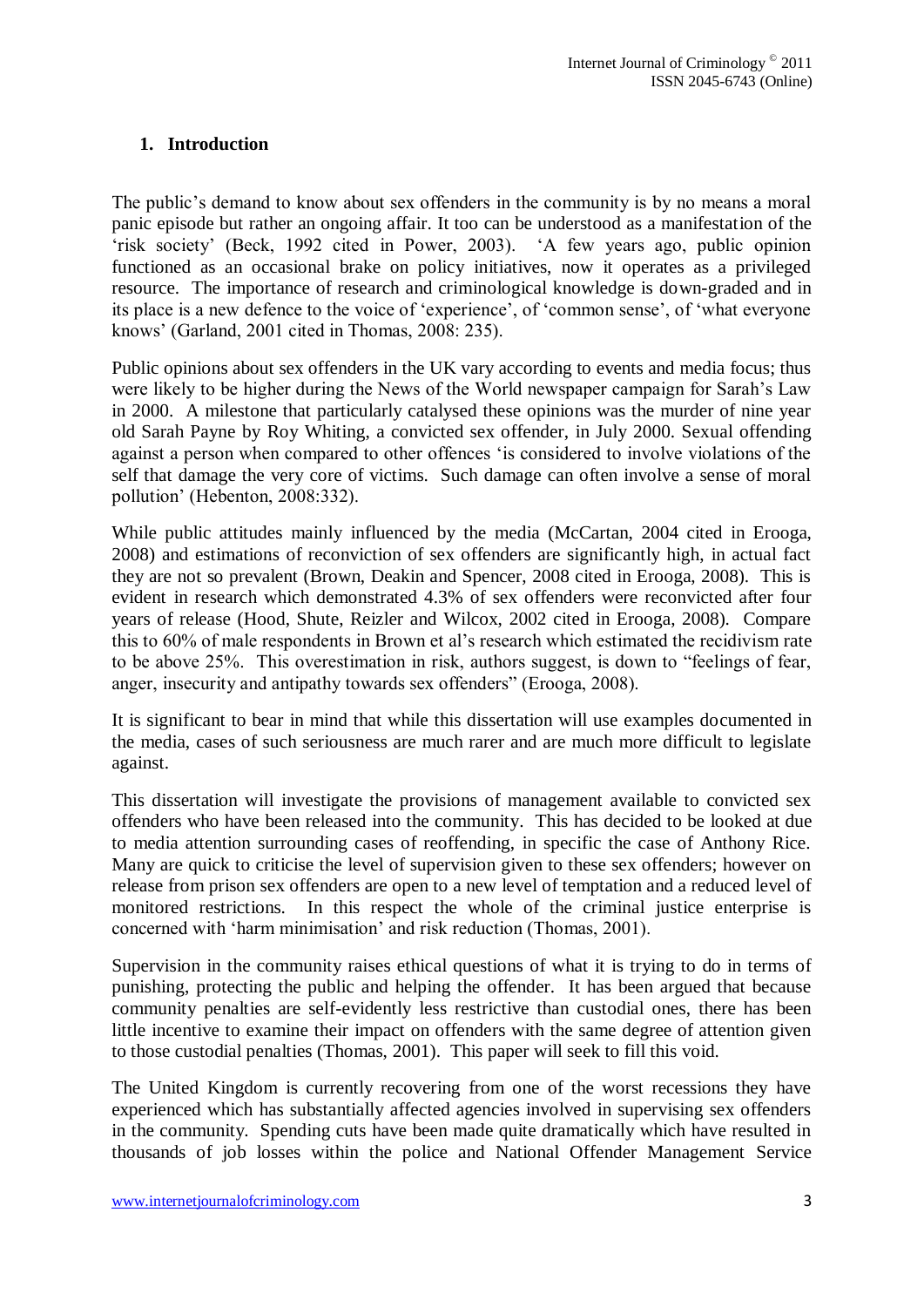## **1. Introduction**

The public's demand to know about sex offenders in the community is by no means a moral panic episode but rather an ongoing affair. It too can be understood as a manifestation of the "risk society" (Beck, 1992 cited in Power, 2003). "A few years ago, public opinion functioned as an occasional brake on policy initiatives, now it operates as a privileged resource. The importance of research and criminological knowledge is down-graded and in its place is a new defence to the voice of "experience", of "common sense", of "what everyone knows" (Garland, 2001 cited in Thomas, 2008: 235).

Public opinions about sex offenders in the UK vary according to events and media focus; thus were likely to be higher during the News of the World newspaper campaign for Sarah"s Law in 2000. A milestone that particularly catalysed these opinions was the murder of nine year old Sarah Payne by Roy Whiting, a convicted sex offender, in July 2000. Sexual offending against a person when compared to other offences "is considered to involve violations of the self that damage the very core of victims. Such damage can often involve a sense of moral pollution" (Hebenton, 2008:332).

While public attitudes mainly influenced by the media (McCartan, 2004 cited in Erooga, 2008) and estimations of reconviction of sex offenders are significantly high, in actual fact they are not so prevalent (Brown, Deakin and Spencer, 2008 cited in Erooga, 2008). This is evident in research which demonstrated 4.3% of sex offenders were reconvicted after four years of release (Hood, Shute, Reizler and Wilcox, 2002 cited in Erooga, 2008). Compare this to 60% of male respondents in Brown et al"s research which estimated the recidivism rate to be above 25%. This overestimation in risk, authors suggest, is down to "feelings of fear, anger, insecurity and antipathy towards sex offenders" (Erooga, 2008).

It is significant to bear in mind that while this dissertation will use examples documented in the media, cases of such seriousness are much rarer and are much more difficult to legislate against.

This dissertation will investigate the provisions of management available to convicted sex offenders who have been released into the community. This has decided to be looked at due to media attention surrounding cases of reoffending, in specific the case of Anthony Rice. Many are quick to criticise the level of supervision given to these sex offenders; however on release from prison sex offenders are open to a new level of temptation and a reduced level of monitored restrictions. In this respect the whole of the criminal justice enterprise is concerned with "harm minimisation" and risk reduction (Thomas, 2001).

Supervision in the community raises ethical questions of what it is trying to do in terms of punishing, protecting the public and helping the offender. It has been argued that because community penalties are self-evidently less restrictive than custodial ones, there has been little incentive to examine their impact on offenders with the same degree of attention given to those custodial penalties (Thomas, 2001). This paper will seek to fill this void.

The United Kingdom is currently recovering from one of the worst recessions they have experienced which has substantially affected agencies involved in supervising sex offenders in the community. Spending cuts have been made quite dramatically which have resulted in thousands of job losses within the police and National Offender Management Service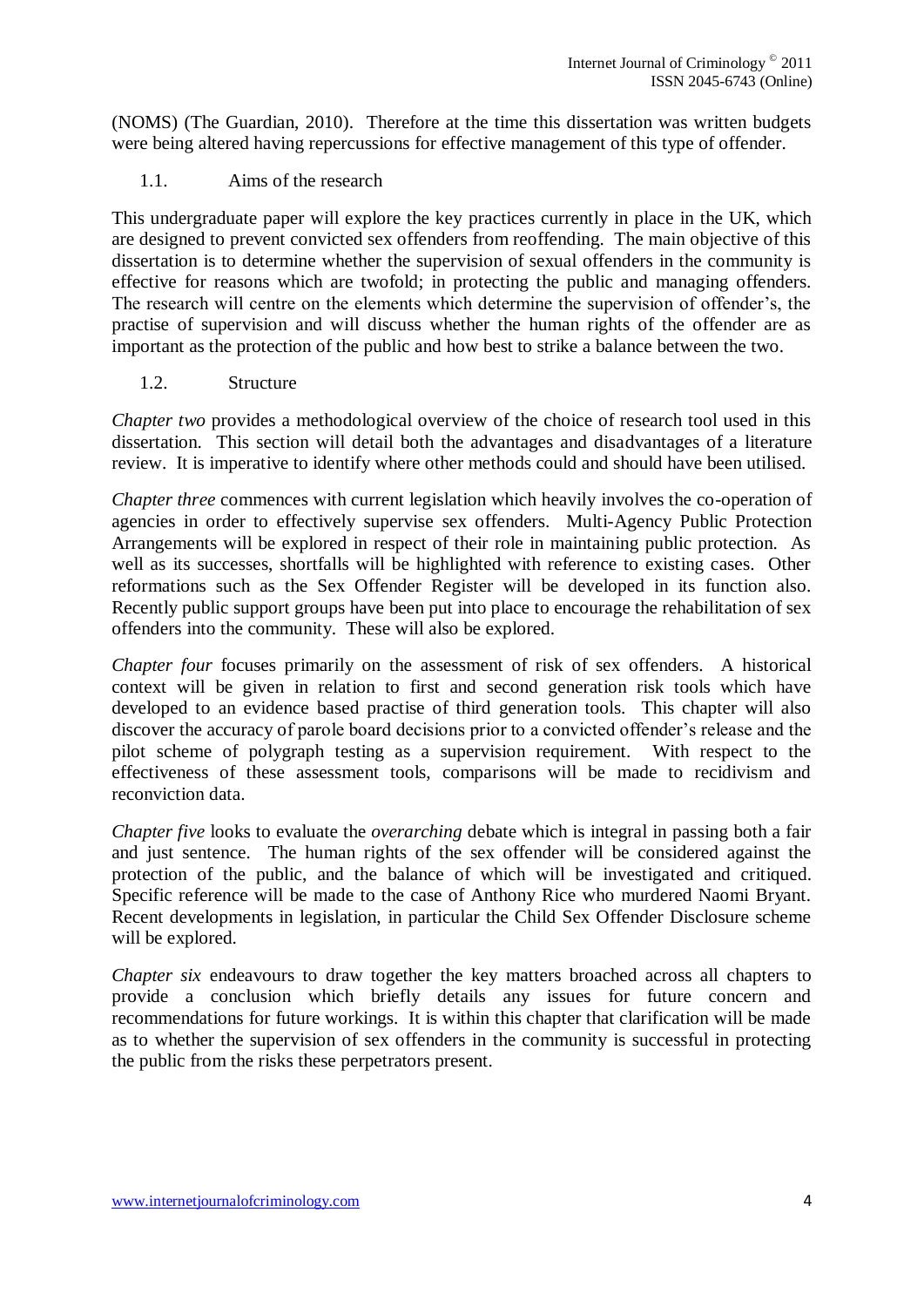(NOMS) (The Guardian, 2010). Therefore at the time this dissertation was written budgets were being altered having repercussions for effective management of this type of offender.

#### 1.1. Aims of the research

This undergraduate paper will explore the key practices currently in place in the UK, which are designed to prevent convicted sex offenders from reoffending. The main objective of this dissertation is to determine whether the supervision of sexual offenders in the community is effective for reasons which are twofold; in protecting the public and managing offenders. The research will centre on the elements which determine the supervision of offender"s, the practise of supervision and will discuss whether the human rights of the offender are as important as the protection of the public and how best to strike a balance between the two.

## 1.2. Structure

*Chapter two* provides a methodological overview of the choice of research tool used in this dissertation. This section will detail both the advantages and disadvantages of a literature review. It is imperative to identify where other methods could and should have been utilised.

*Chapter three* commences with current legislation which heavily involves the co-operation of agencies in order to effectively supervise sex offenders. Multi-Agency Public Protection Arrangements will be explored in respect of their role in maintaining public protection. As well as its successes, shortfalls will be highlighted with reference to existing cases. Other reformations such as the Sex Offender Register will be developed in its function also. Recently public support groups have been put into place to encourage the rehabilitation of sex offenders into the community. These will also be explored.

*Chapter four* focuses primarily on the assessment of risk of sex offenders. A historical context will be given in relation to first and second generation risk tools which have developed to an evidence based practise of third generation tools. This chapter will also discover the accuracy of parole board decisions prior to a convicted offender's release and the pilot scheme of polygraph testing as a supervision requirement. With respect to the effectiveness of these assessment tools, comparisons will be made to recidivism and reconviction data.

*Chapter five* looks to evaluate the *overarching* debate which is integral in passing both a fair and just sentence. The human rights of the sex offender will be considered against the protection of the public, and the balance of which will be investigated and critiqued. Specific reference will be made to the case of Anthony Rice who murdered Naomi Bryant. Recent developments in legislation, in particular the Child Sex Offender Disclosure scheme will be explored.

*Chapter six* endeavours to draw together the key matters broached across all chapters to provide a conclusion which briefly details any issues for future concern and recommendations for future workings. It is within this chapter that clarification will be made as to whether the supervision of sex offenders in the community is successful in protecting the public from the risks these perpetrators present.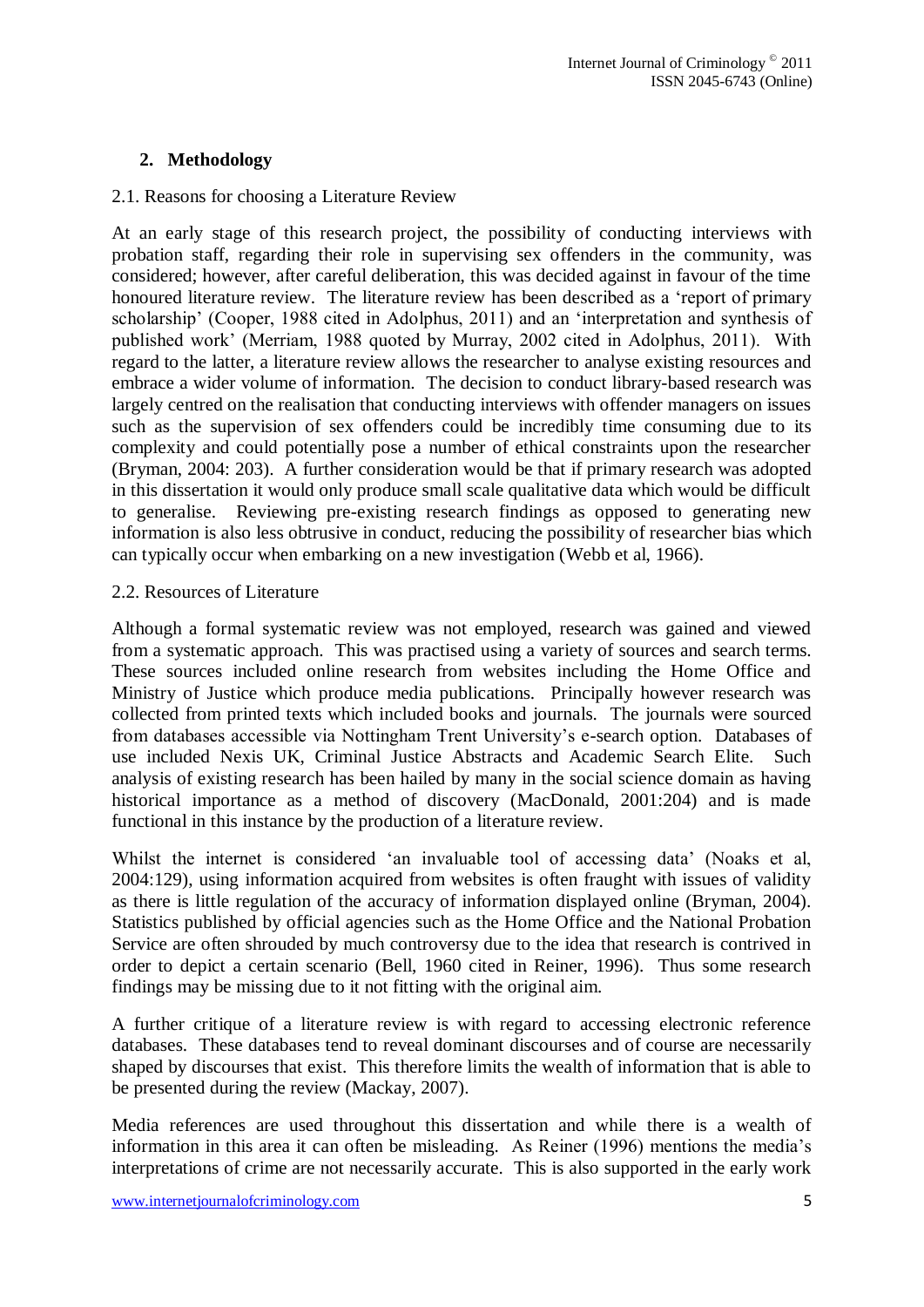## **2. Methodology**

#### 2.1. Reasons for choosing a Literature Review

At an early stage of this research project, the possibility of conducting interviews with probation staff, regarding their role in supervising sex offenders in the community, was considered; however, after careful deliberation, this was decided against in favour of the time honoured literature review. The literature review has been described as a "report of primary scholarship" (Cooper, 1988 cited in Adolphus, 2011) and an "interpretation and synthesis of published work" (Merriam, 1988 quoted by Murray, 2002 cited in Adolphus, 2011). With regard to the latter, a literature review allows the researcher to analyse existing resources and embrace a wider volume of information. The decision to conduct library-based research was largely centred on the realisation that conducting interviews with offender managers on issues such as the supervision of sex offenders could be incredibly time consuming due to its complexity and could potentially pose a number of ethical constraints upon the researcher (Bryman, 2004: 203). A further consideration would be that if primary research was adopted in this dissertation it would only produce small scale qualitative data which would be difficult to generalise. Reviewing pre-existing research findings as opposed to generating new information is also less obtrusive in conduct, reducing the possibility of researcher bias which can typically occur when embarking on a new investigation (Webb et al, 1966).

#### 2.2. Resources of Literature

Although a formal systematic review was not employed, research was gained and viewed from a systematic approach. This was practised using a variety of sources and search terms. These sources included online research from websites including the Home Office and Ministry of Justice which produce media publications. Principally however research was collected from printed texts which included books and journals. The journals were sourced from databases accessible via Nottingham Trent University"s e-search option. Databases of use included Nexis UK, Criminal Justice Abstracts and Academic Search Elite. Such analysis of existing research has been hailed by many in the social science domain as having historical importance as a method of discovery (MacDonald, 2001:204) and is made functional in this instance by the production of a literature review.

Whilst the internet is considered 'an invaluable tool of accessing data' (Noaks et al, 2004:129), using information acquired from websites is often fraught with issues of validity as there is little regulation of the accuracy of information displayed online (Bryman, 2004). Statistics published by official agencies such as the Home Office and the National Probation Service are often shrouded by much controversy due to the idea that research is contrived in order to depict a certain scenario (Bell, 1960 cited in Reiner, 1996). Thus some research findings may be missing due to it not fitting with the original aim.

A further critique of a literature review is with regard to accessing electronic reference databases. These databases tend to reveal dominant discourses and of course are necessarily shaped by discourses that exist. This therefore limits the wealth of information that is able to be presented during the review (Mackay, 2007).

Media references are used throughout this dissertation and while there is a wealth of information in this area it can often be misleading. As Reiner (1996) mentions the media"s interpretations of crime are not necessarily accurate. This is also supported in the early work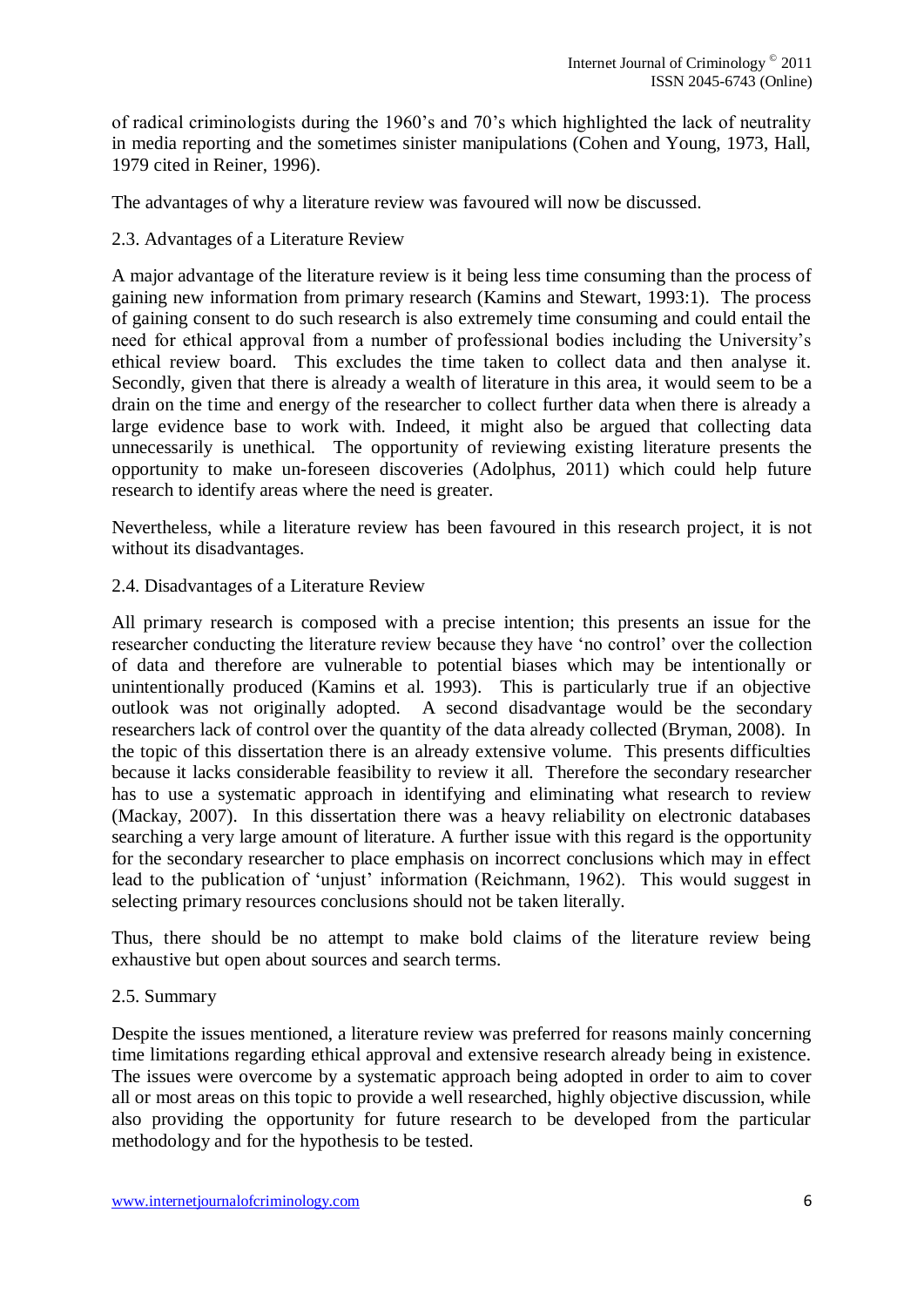of radical criminologists during the 1960"s and 70"s which highlighted the lack of neutrality in media reporting and the sometimes sinister manipulations (Cohen and Young, 1973, Hall, 1979 cited in Reiner, 1996).

The advantages of why a literature review was favoured will now be discussed.

## 2.3. Advantages of a Literature Review

A major advantage of the literature review is it being less time consuming than the process of gaining new information from primary research (Kamins and Stewart, 1993:1). The process of gaining consent to do such research is also extremely time consuming and could entail the need for ethical approval from a number of professional bodies including the University"s ethical review board. This excludes the time taken to collect data and then analyse it. Secondly, given that there is already a wealth of literature in this area, it would seem to be a drain on the time and energy of the researcher to collect further data when there is already a large evidence base to work with. Indeed, it might also be argued that collecting data unnecessarily is unethical. The opportunity of reviewing existing literature presents the opportunity to make un-foreseen discoveries (Adolphus, 2011) which could help future research to identify areas where the need is greater.

Nevertheless, while a literature review has been favoured in this research project, it is not without its disadvantages.

#### 2.4. Disadvantages of a Literature Review

All primary research is composed with a precise intention; this presents an issue for the researcher conducting the literature review because they have "no control" over the collection of data and therefore are vulnerable to potential biases which may be intentionally or unintentionally produced (Kamins et al. 1993). This is particularly true if an objective outlook was not originally adopted. A second disadvantage would be the secondary researchers lack of control over the quantity of the data already collected (Bryman, 2008). In the topic of this dissertation there is an already extensive volume. This presents difficulties because it lacks considerable feasibility to review it all. Therefore the secondary researcher has to use a systematic approach in identifying and eliminating what research to review (Mackay, 2007). In this dissertation there was a heavy reliability on electronic databases searching a very large amount of literature. A further issue with this regard is the opportunity for the secondary researcher to place emphasis on incorrect conclusions which may in effect lead to the publication of 'unjust' information (Reichmann, 1962). This would suggest in selecting primary resources conclusions should not be taken literally.

Thus, there should be no attempt to make bold claims of the literature review being exhaustive but open about sources and search terms.

#### 2.5. Summary

Despite the issues mentioned, a literature review was preferred for reasons mainly concerning time limitations regarding ethical approval and extensive research already being in existence. The issues were overcome by a systematic approach being adopted in order to aim to cover all or most areas on this topic to provide a well researched, highly objective discussion, while also providing the opportunity for future research to be developed from the particular methodology and for the hypothesis to be tested.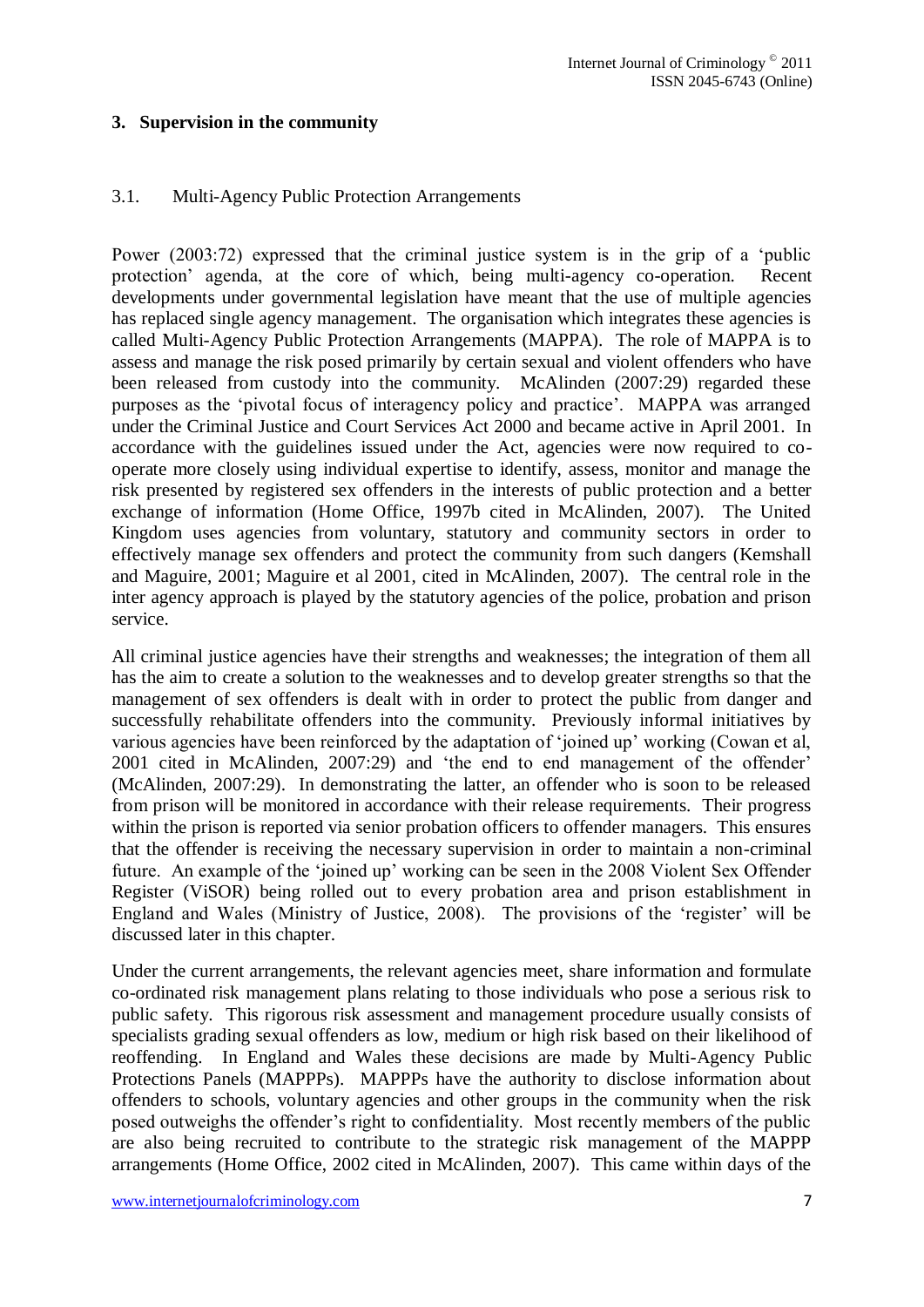## **3. Supervision in the community**

#### 3.1. Multi-Agency Public Protection Arrangements

Power (2003:72) expressed that the criminal justice system is in the grip of a "public protection" agenda, at the core of which, being multi-agency co-operation. Recent developments under governmental legislation have meant that the use of multiple agencies has replaced single agency management. The organisation which integrates these agencies is called Multi-Agency Public Protection Arrangements (MAPPA). The role of MAPPA is to assess and manage the risk posed primarily by certain sexual and violent offenders who have been released from custody into the community. McAlinden (2007:29) regarded these purposes as the "pivotal focus of interagency policy and practice". MAPPA was arranged under the Criminal Justice and Court Services Act 2000 and became active in April 2001. In accordance with the guidelines issued under the Act, agencies were now required to cooperate more closely using individual expertise to identify, assess, monitor and manage the risk presented by registered sex offenders in the interests of public protection and a better exchange of information (Home Office, 1997b cited in McAlinden, 2007). The United Kingdom uses agencies from voluntary, statutory and community sectors in order to effectively manage sex offenders and protect the community from such dangers (Kemshall and Maguire, 2001; Maguire et al 2001, cited in McAlinden, 2007). The central role in the inter agency approach is played by the statutory agencies of the police, probation and prison service.

All criminal justice agencies have their strengths and weaknesses; the integration of them all has the aim to create a solution to the weaknesses and to develop greater strengths so that the management of sex offenders is dealt with in order to protect the public from danger and successfully rehabilitate offenders into the community. Previously informal initiatives by various agencies have been reinforced by the adaptation of "joined up" working (Cowan et al, 2001 cited in McAlinden, 2007:29) and "the end to end management of the offender" (McAlinden, 2007:29). In demonstrating the latter, an offender who is soon to be released from prison will be monitored in accordance with their release requirements. Their progress within the prison is reported via senior probation officers to offender managers. This ensures that the offender is receiving the necessary supervision in order to maintain a non-criminal future. An example of the "joined up" working can be seen in the 2008 Violent Sex Offender Register (ViSOR) being rolled out to every probation area and prison establishment in England and Wales (Ministry of Justice, 2008). The provisions of the "register" will be discussed later in this chapter.

Under the current arrangements, the relevant agencies meet, share information and formulate co-ordinated risk management plans relating to those individuals who pose a serious risk to public safety. This rigorous risk assessment and management procedure usually consists of specialists grading sexual offenders as low, medium or high risk based on their likelihood of reoffending. In England and Wales these decisions are made by Multi-Agency Public Protections Panels (MAPPPs). MAPPPs have the authority to disclose information about offenders to schools, voluntary agencies and other groups in the community when the risk posed outweighs the offender"s right to confidentiality. Most recently members of the public are also being recruited to contribute to the strategic risk management of the MAPPP arrangements (Home Office, 2002 cited in McAlinden, 2007). This came within days of the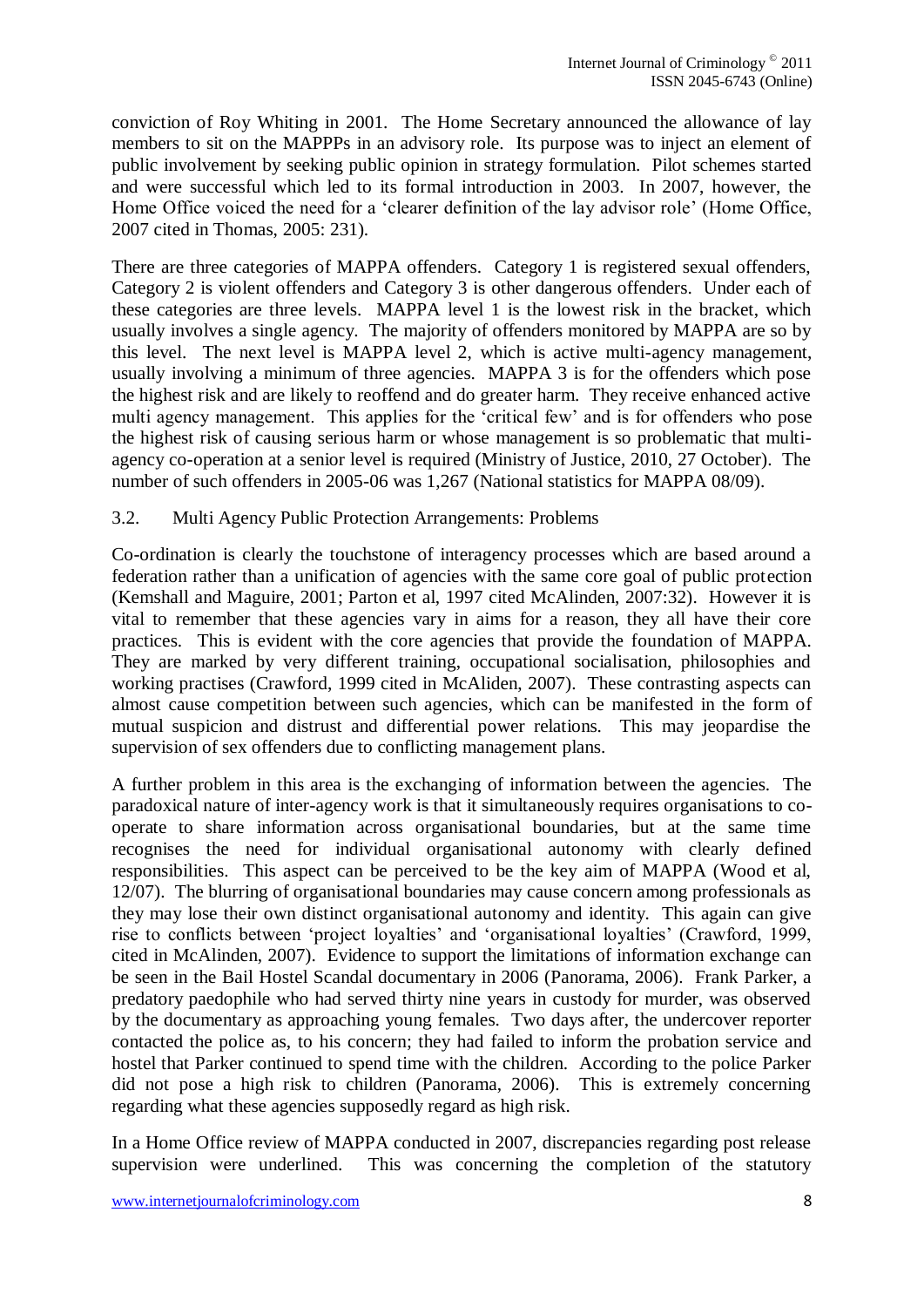conviction of Roy Whiting in 2001. The Home Secretary announced the allowance of lay members to sit on the MAPPPs in an advisory role. Its purpose was to inject an element of public involvement by seeking public opinion in strategy formulation. Pilot schemes started and were successful which led to its formal introduction in 2003. In 2007, however, the Home Office voiced the need for a "clearer definition of the lay advisor role" (Home Office, 2007 cited in Thomas, 2005: 231).

There are three categories of MAPPA offenders. Category 1 is registered sexual offenders, Category 2 is violent offenders and Category 3 is other dangerous offenders. Under each of these categories are three levels. MAPPA level 1 is the lowest risk in the bracket, which usually involves a single agency. The majority of offenders monitored by MAPPA are so by this level. The next level is MAPPA level 2, which is active multi-agency management, usually involving a minimum of three agencies. MAPPA 3 is for the offenders which pose the highest risk and are likely to reoffend and do greater harm. They receive enhanced active multi agency management. This applies for the "critical few" and is for offenders who pose the highest risk of causing serious harm or whose management is so problematic that multiagency co-operation at a senior level is required (Ministry of Justice, 2010, 27 October). The number of such offenders in 2005-06 was 1,267 (National statistics for MAPPA 08/09).

## 3.2. Multi Agency Public Protection Arrangements: Problems

Co-ordination is clearly the touchstone of interagency processes which are based around a federation rather than a unification of agencies with the same core goal of public protection (Kemshall and Maguire, 2001; Parton et al, 1997 cited McAlinden, 2007:32). However it is vital to remember that these agencies vary in aims for a reason, they all have their core practices. This is evident with the core agencies that provide the foundation of MAPPA. They are marked by very different training, occupational socialisation, philosophies and working practises (Crawford, 1999 cited in McAliden, 2007). These contrasting aspects can almost cause competition between such agencies, which can be manifested in the form of mutual suspicion and distrust and differential power relations. This may jeopardise the supervision of sex offenders due to conflicting management plans.

A further problem in this area is the exchanging of information between the agencies. The paradoxical nature of inter-agency work is that it simultaneously requires organisations to cooperate to share information across organisational boundaries, but at the same time recognises the need for individual organisational autonomy with clearly defined responsibilities. This aspect can be perceived to be the key aim of MAPPA (Wood et al, 12/07). The blurring of organisational boundaries may cause concern among professionals as they may lose their own distinct organisational autonomy and identity. This again can give rise to conflicts between "project loyalties" and "organisational loyalties" (Crawford, 1999, cited in McAlinden, 2007). Evidence to support the limitations of information exchange can be seen in the Bail Hostel Scandal documentary in 2006 (Panorama, 2006). Frank Parker, a predatory paedophile who had served thirty nine years in custody for murder, was observed by the documentary as approaching young females. Two days after, the undercover reporter contacted the police as, to his concern; they had failed to inform the probation service and hostel that Parker continued to spend time with the children. According to the police Parker did not pose a high risk to children (Panorama, 2006). This is extremely concerning regarding what these agencies supposedly regard as high risk.

In a Home Office review of MAPPA conducted in 2007, discrepancies regarding post release supervision were underlined. This was concerning the completion of the statutory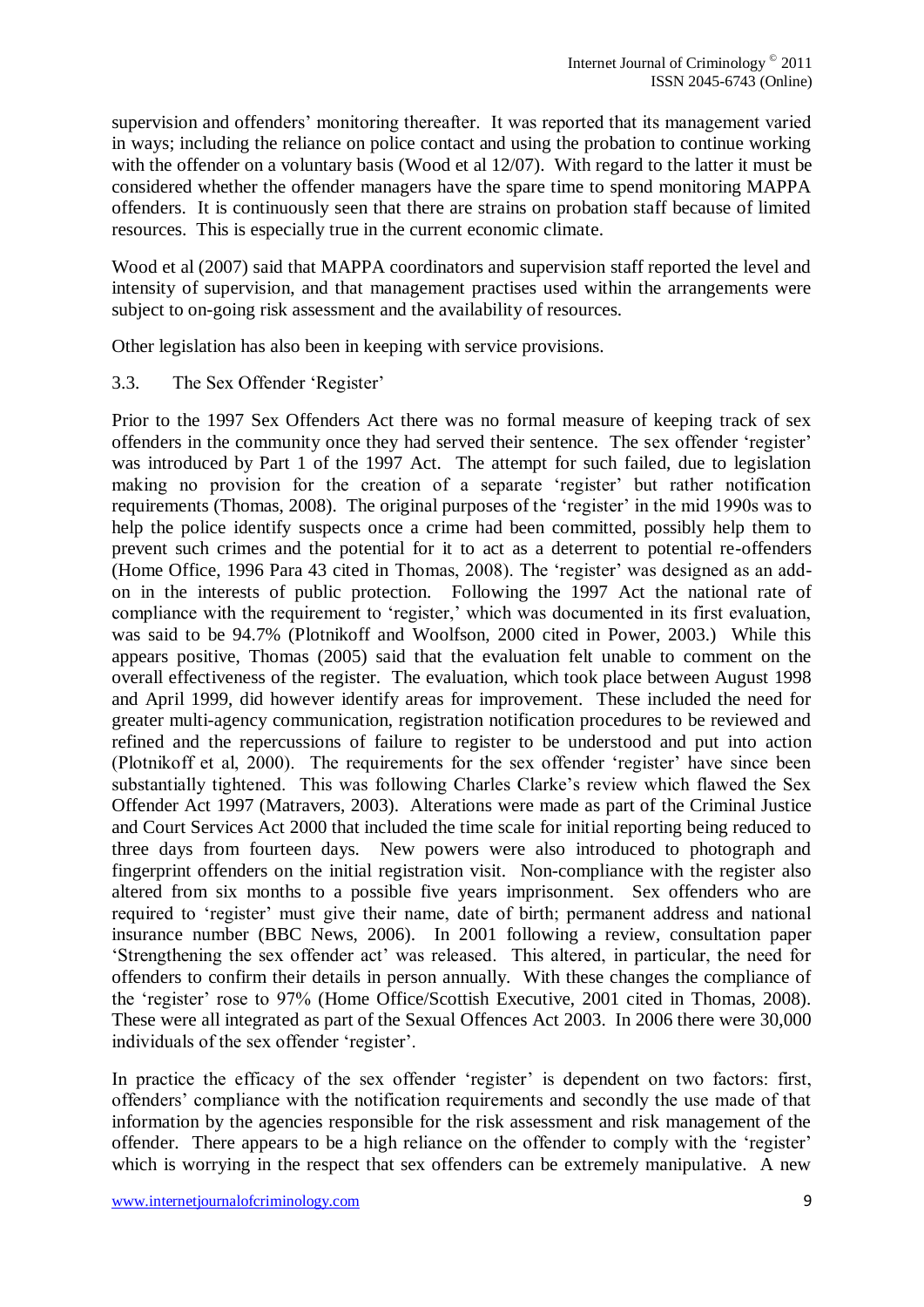supervision and offenders' monitoring thereafter. It was reported that its management varied in ways; including the reliance on police contact and using the probation to continue working with the offender on a voluntary basis (Wood et al 12/07). With regard to the latter it must be considered whether the offender managers have the spare time to spend monitoring MAPPA offenders. It is continuously seen that there are strains on probation staff because of limited resources. This is especially true in the current economic climate.

Wood et al (2007) said that MAPPA coordinators and supervision staff reported the level and intensity of supervision, and that management practises used within the arrangements were subject to on-going risk assessment and the availability of resources.

Other legislation has also been in keeping with service provisions.

#### 3.3. The Sex Offender "Register"

Prior to the 1997 Sex Offenders Act there was no formal measure of keeping track of sex offenders in the community once they had served their sentence. The sex offender "register" was introduced by Part 1 of the 1997 Act. The attempt for such failed, due to legislation making no provision for the creation of a separate 'register' but rather notification requirements (Thomas, 2008). The original purposes of the 'register' in the mid 1990s was to help the police identify suspects once a crime had been committed, possibly help them to prevent such crimes and the potential for it to act as a deterrent to potential re-offenders (Home Office, 1996 Para 43 cited in Thomas, 2008). The "register" was designed as an addon in the interests of public protection. Following the 1997 Act the national rate of compliance with the requirement to "register," which was documented in its first evaluation, was said to be 94.7% (Plotnikoff and Woolfson, 2000 cited in Power, 2003.) While this appears positive, Thomas (2005) said that the evaluation felt unable to comment on the overall effectiveness of the register. The evaluation, which took place between August 1998 and April 1999, did however identify areas for improvement. These included the need for greater multi-agency communication, registration notification procedures to be reviewed and refined and the repercussions of failure to register to be understood and put into action (Plotnikoff et al, 2000). The requirements for the sex offender "register" have since been substantially tightened. This was following Charles Clarke's review which flawed the Sex Offender Act 1997 (Matravers, 2003). Alterations were made as part of the Criminal Justice and Court Services Act 2000 that included the time scale for initial reporting being reduced to three days from fourteen days. New powers were also introduced to photograph and fingerprint offenders on the initial registration visit. Non-compliance with the register also altered from six months to a possible five years imprisonment. Sex offenders who are required to 'register' must give their name, date of birth; permanent address and national insurance number (BBC News, 2006). In 2001 following a review, consultation paper "Strengthening the sex offender act" was released. This altered, in particular, the need for offenders to confirm their details in person annually. With these changes the compliance of the 'register' rose to 97% (Home Office/Scottish Executive, 2001 cited in Thomas, 2008). These were all integrated as part of the Sexual Offences Act 2003. In 2006 there were 30,000 individuals of the sex offender "register".

In practice the efficacy of the sex offender 'register' is dependent on two factors: first, offenders" compliance with the notification requirements and secondly the use made of that information by the agencies responsible for the risk assessment and risk management of the offender. There appears to be a high reliance on the offender to comply with the "register" which is worrying in the respect that sex offenders can be extremely manipulative. A new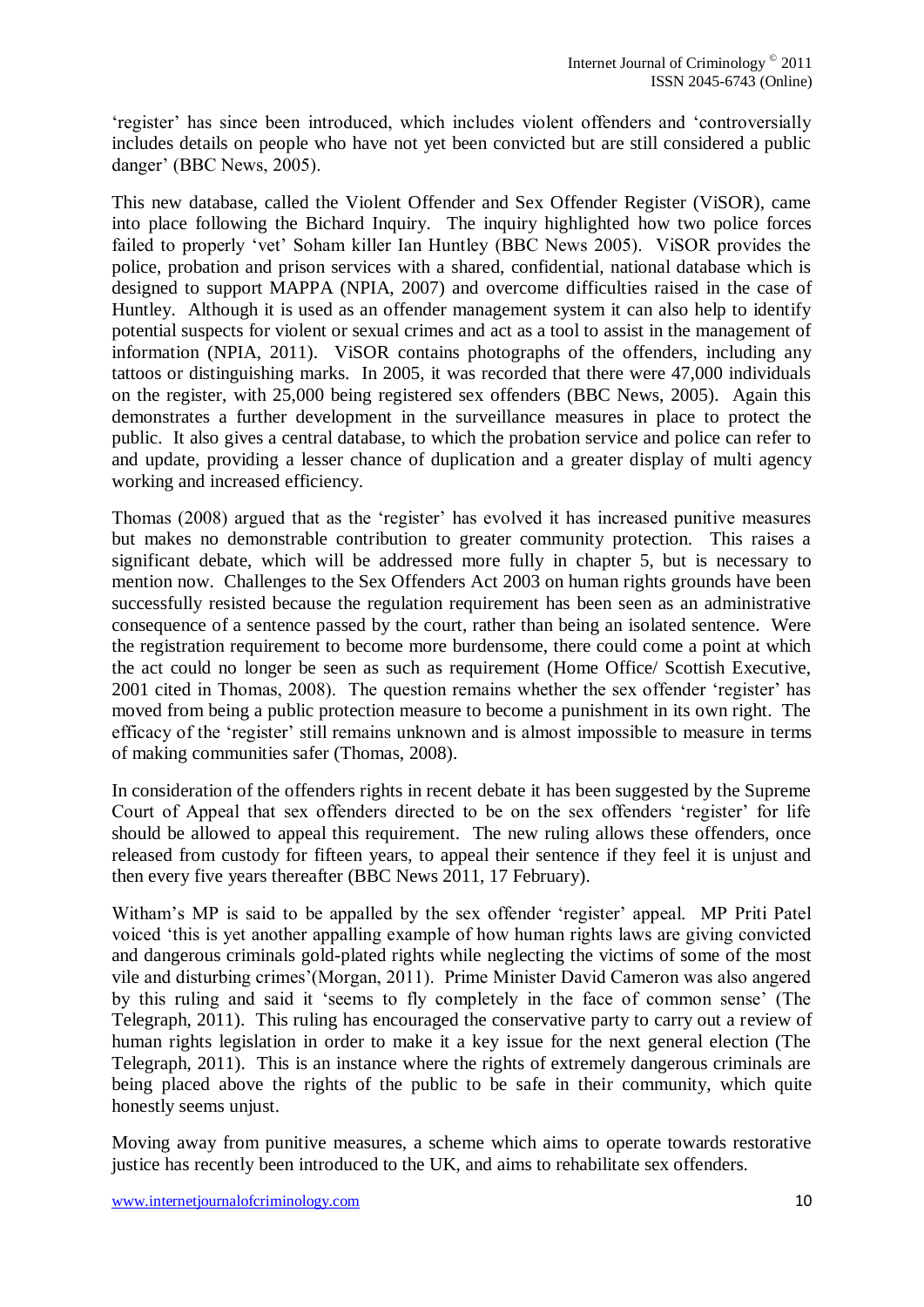"register" has since been introduced, which includes violent offenders and "controversially includes details on people who have not yet been convicted but are still considered a public danger' (BBC News, 2005).

This new database, called the Violent Offender and Sex Offender Register (ViSOR), came into place following the Bichard Inquiry. The inquiry highlighted how two police forces failed to properly "vet" Soham killer Ian Huntley (BBC News 2005). ViSOR provides the police, probation and prison services with a shared, confidential, national database which is designed to support MAPPA (NPIA, 2007) and overcome difficulties raised in the case of Huntley. Although it is used as an offender management system it can also help to identify potential suspects for violent or sexual crimes and act as a tool to assist in the management of information (NPIA, 2011). ViSOR contains photographs of the offenders, including any tattoos or distinguishing marks. In 2005, it was recorded that there were 47,000 individuals on the register, with 25,000 being registered sex offenders (BBC News, 2005). Again this demonstrates a further development in the surveillance measures in place to protect the public. It also gives a central database, to which the probation service and police can refer to and update, providing a lesser chance of duplication and a greater display of multi agency working and increased efficiency.

Thomas (2008) argued that as the "register" has evolved it has increased punitive measures but makes no demonstrable contribution to greater community protection. This raises a significant debate, which will be addressed more fully in chapter 5, but is necessary to mention now. Challenges to the Sex Offenders Act 2003 on human rights grounds have been successfully resisted because the regulation requirement has been seen as an administrative consequence of a sentence passed by the court, rather than being an isolated sentence. Were the registration requirement to become more burdensome, there could come a point at which the act could no longer be seen as such as requirement (Home Office/ Scottish Executive, 2001 cited in Thomas, 2008). The question remains whether the sex offender "register" has moved from being a public protection measure to become a punishment in its own right. The efficacy of the "register" still remains unknown and is almost impossible to measure in terms of making communities safer (Thomas, 2008).

In consideration of the offenders rights in recent debate it has been suggested by the Supreme Court of Appeal that sex offenders directed to be on the sex offenders "register" for life should be allowed to appeal this requirement. The new ruling allows these offenders, once released from custody for fifteen years, to appeal their sentence if they feel it is unjust and then every five years thereafter (BBC News 2011, 17 February).

Witham's MP is said to be appalled by the sex offender 'register' appeal. MP Priti Patel voiced "this is yet another appalling example of how human rights laws are giving convicted and dangerous criminals gold-plated rights while neglecting the victims of some of the most vile and disturbing crimes"(Morgan, 2011). Prime Minister David Cameron was also angered by this ruling and said it "seems to fly completely in the face of common sense" (The Telegraph, 2011). This ruling has encouraged the conservative party to carry out a review of human rights legislation in order to make it a key issue for the next general election (The Telegraph, 2011). This is an instance where the rights of extremely dangerous criminals are being placed above the rights of the public to be safe in their community, which quite honestly seems unjust.

Moving away from punitive measures, a scheme which aims to operate towards restorative justice has recently been introduced to the UK, and aims to rehabilitate sex offenders.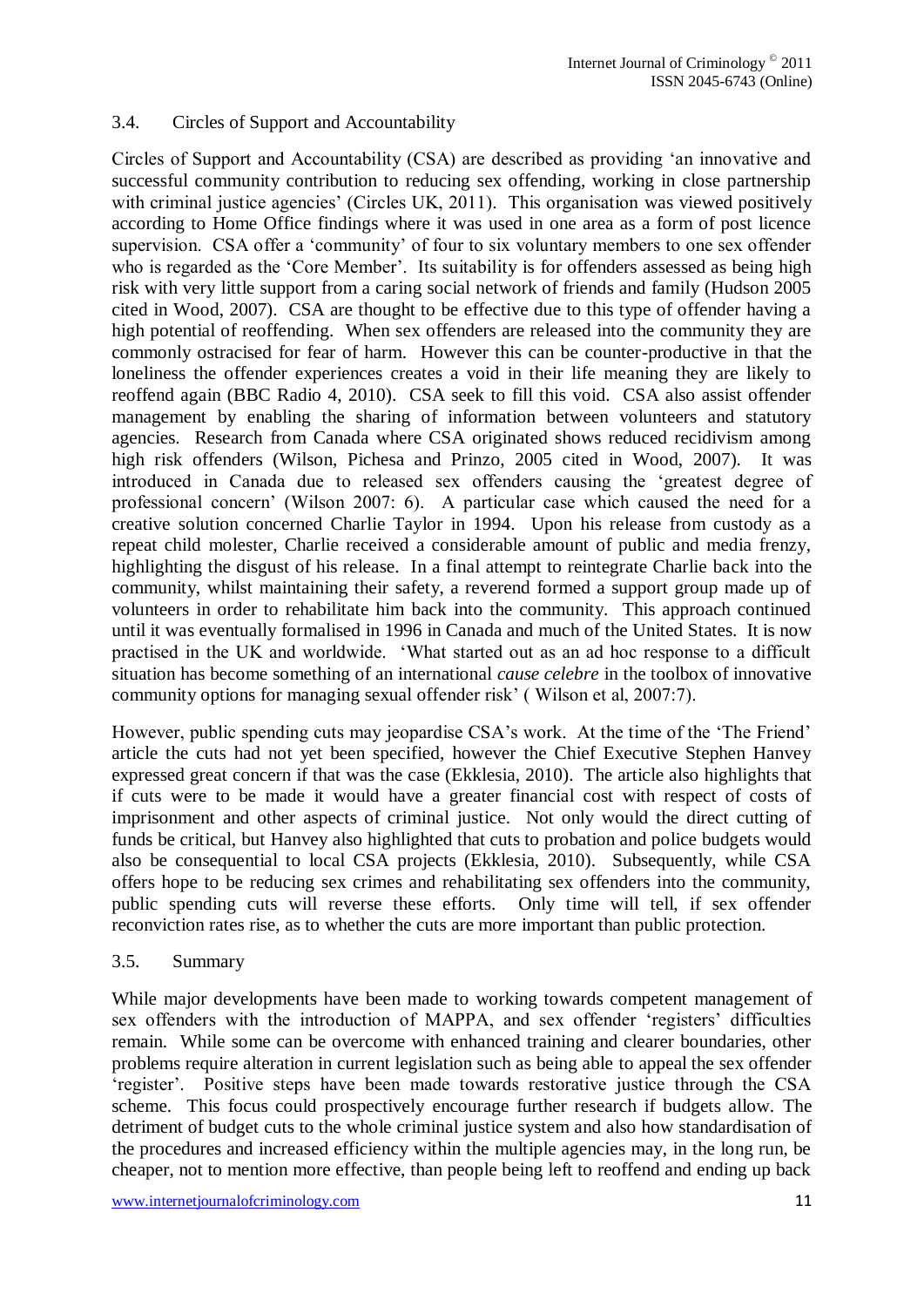#### 3.4. Circles of Support and Accountability

Circles of Support and Accountability (CSA) are described as providing "an innovative and successful community contribution to reducing sex offending, working in close partnership with criminal justice agencies' (Circles UK, 2011). This organisation was viewed positively according to Home Office findings where it was used in one area as a form of post licence supervision. CSA offer a 'community' of four to six voluntary members to one sex offender who is regarded as the 'Core Member'. Its suitability is for offenders assessed as being high risk with very little support from a caring social network of friends and family (Hudson 2005 cited in Wood, 2007). CSA are thought to be effective due to this type of offender having a high potential of reoffending. When sex offenders are released into the community they are commonly ostracised for fear of harm. However this can be counter-productive in that the loneliness the offender experiences creates a void in their life meaning they are likely to reoffend again (BBC Radio 4, 2010). CSA seek to fill this void. CSA also assist offender management by enabling the sharing of information between volunteers and statutory agencies. Research from Canada where CSA originated shows reduced recidivism among high risk offenders (Wilson, Pichesa and Prinzo, 2005 cited in Wood, 2007). It was introduced in Canada due to released sex offenders causing the "greatest degree of professional concern" (Wilson 2007: 6). A particular case which caused the need for a creative solution concerned Charlie Taylor in 1994. Upon his release from custody as a repeat child molester, Charlie received a considerable amount of public and media frenzy, highlighting the disgust of his release. In a final attempt to reintegrate Charlie back into the community, whilst maintaining their safety, a reverend formed a support group made up of volunteers in order to rehabilitate him back into the community. This approach continued until it was eventually formalised in 1996 in Canada and much of the United States. It is now practised in the UK and worldwide. "What started out as an ad hoc response to a difficult situation has become something of an international *cause celebre* in the toolbox of innovative community options for managing sexual offender risk" ( Wilson et al, 2007:7).

However, public spending cuts may jeopardise CSA's work. At the time of the 'The Friend' article the cuts had not yet been specified, however the Chief Executive Stephen Hanvey expressed great concern if that was the case (Ekklesia, 2010). The article also highlights that if cuts were to be made it would have a greater financial cost with respect of costs of imprisonment and other aspects of criminal justice. Not only would the direct cutting of funds be critical, but Hanvey also highlighted that cuts to probation and police budgets would also be consequential to local CSA projects (Ekklesia, 2010). Subsequently, while CSA offers hope to be reducing sex crimes and rehabilitating sex offenders into the community, public spending cuts will reverse these efforts. Only time will tell, if sex offender reconviction rates rise, as to whether the cuts are more important than public protection.

#### 3.5. Summary

While major developments have been made to working towards competent management of sex offenders with the introduction of MAPPA, and sex offender 'registers' difficulties remain. While some can be overcome with enhanced training and clearer boundaries, other problems require alteration in current legislation such as being able to appeal the sex offender "register". Positive steps have been made towards restorative justice through the CSA scheme. This focus could prospectively encourage further research if budgets allow. The detriment of budget cuts to the whole criminal justice system and also how standardisation of the procedures and increased efficiency within the multiple agencies may, in the long run, be cheaper, not to mention more effective, than people being left to reoffend and ending up back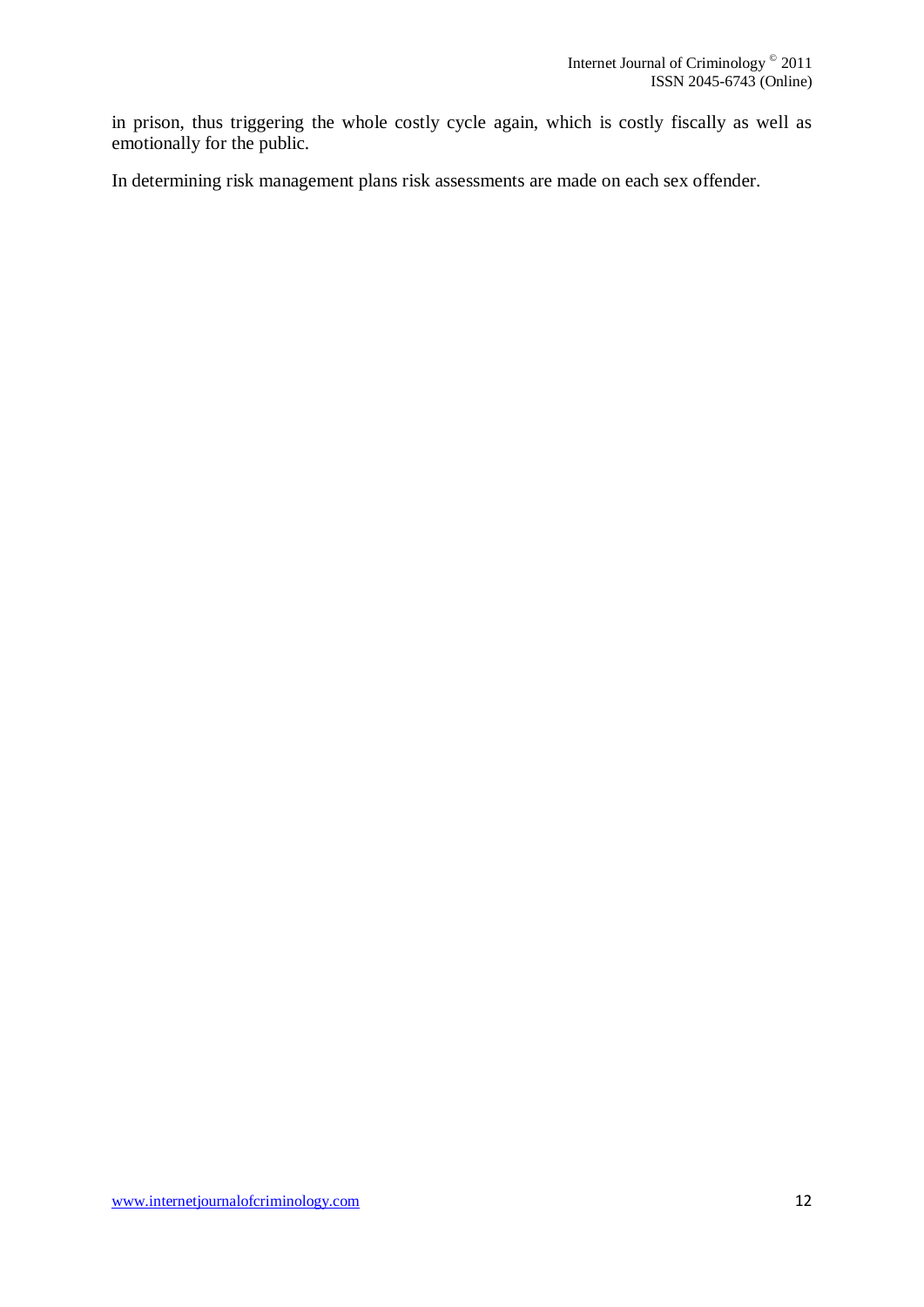in prison, thus triggering the whole costly cycle again, which is costly fiscally as well as emotionally for the public.

In determining risk management plans risk assessments are made on each sex offender.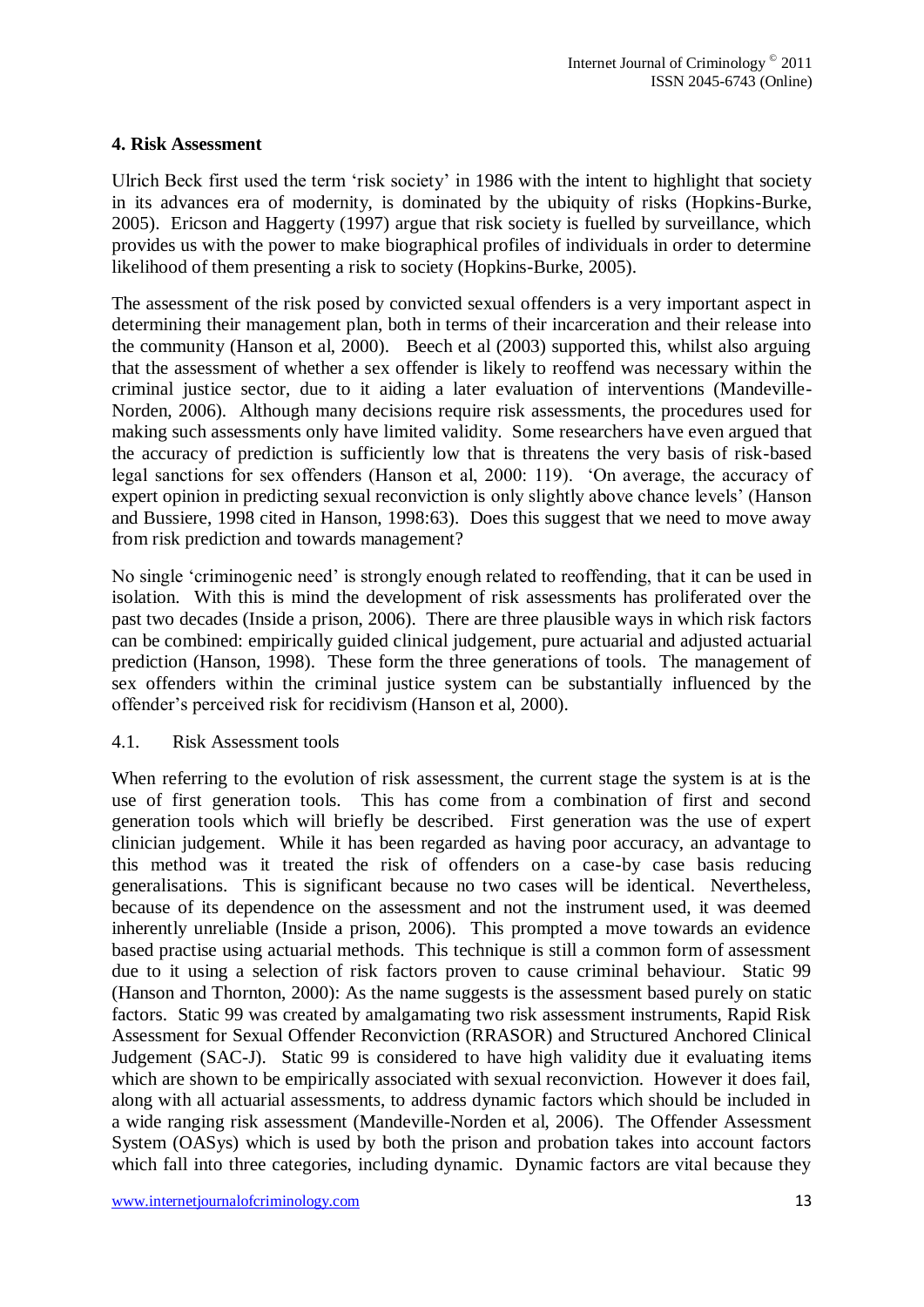#### **4. Risk Assessment**

Ulrich Beck first used the term "risk society" in 1986 with the intent to highlight that society in its advances era of modernity, is dominated by the ubiquity of risks (Hopkins-Burke, 2005). Ericson and Haggerty (1997) argue that risk society is fuelled by surveillance, which provides us with the power to make biographical profiles of individuals in order to determine likelihood of them presenting a risk to society (Hopkins-Burke, 2005).

The assessment of the risk posed by convicted sexual offenders is a very important aspect in determining their management plan, both in terms of their incarceration and their release into the community (Hanson et al, 2000). Beech et al (2003) supported this, whilst also arguing that the assessment of whether a sex offender is likely to reoffend was necessary within the criminal justice sector, due to it aiding a later evaluation of interventions (Mandeville-Norden, 2006). Although many decisions require risk assessments, the procedures used for making such assessments only have limited validity. Some researchers have even argued that the accuracy of prediction is sufficiently low that is threatens the very basis of risk-based legal sanctions for sex offenders (Hanson et al, 2000: 119). "On average, the accuracy of expert opinion in predicting sexual reconviction is only slightly above chance levels" (Hanson and Bussiere, 1998 cited in Hanson, 1998:63). Does this suggest that we need to move away from risk prediction and towards management?

No single "criminogenic need" is strongly enough related to reoffending, that it can be used in isolation. With this is mind the development of risk assessments has proliferated over the past two decades (Inside a prison, 2006). There are three plausible ways in which risk factors can be combined: empirically guided clinical judgement, pure actuarial and adjusted actuarial prediction (Hanson, 1998). These form the three generations of tools. The management of sex offenders within the criminal justice system can be substantially influenced by the offender"s perceived risk for recidivism (Hanson et al, 2000).

#### 4.1. Risk Assessment tools

When referring to the evolution of risk assessment, the current stage the system is at is the use of first generation tools. This has come from a combination of first and second generation tools which will briefly be described. First generation was the use of expert clinician judgement. While it has been regarded as having poor accuracy, an advantage to this method was it treated the risk of offenders on a case-by case basis reducing generalisations. This is significant because no two cases will be identical. Nevertheless, because of its dependence on the assessment and not the instrument used, it was deemed inherently unreliable (Inside a prison, 2006). This prompted a move towards an evidence based practise using actuarial methods. This technique is still a common form of assessment due to it using a selection of risk factors proven to cause criminal behaviour. Static 99 (Hanson and Thornton, 2000): As the name suggests is the assessment based purely on static factors. Static 99 was created by amalgamating two risk assessment instruments, Rapid Risk Assessment for Sexual Offender Reconviction (RRASOR) and Structured Anchored Clinical Judgement (SAC-J). Static 99 is considered to have high validity due it evaluating items which are shown to be empirically associated with sexual reconviction. However it does fail, along with all actuarial assessments, to address dynamic factors which should be included in a wide ranging risk assessment (Mandeville-Norden et al, 2006). The Offender Assessment System (OASys) which is used by both the prison and probation takes into account factors which fall into three categories, including dynamic. Dynamic factors are vital because they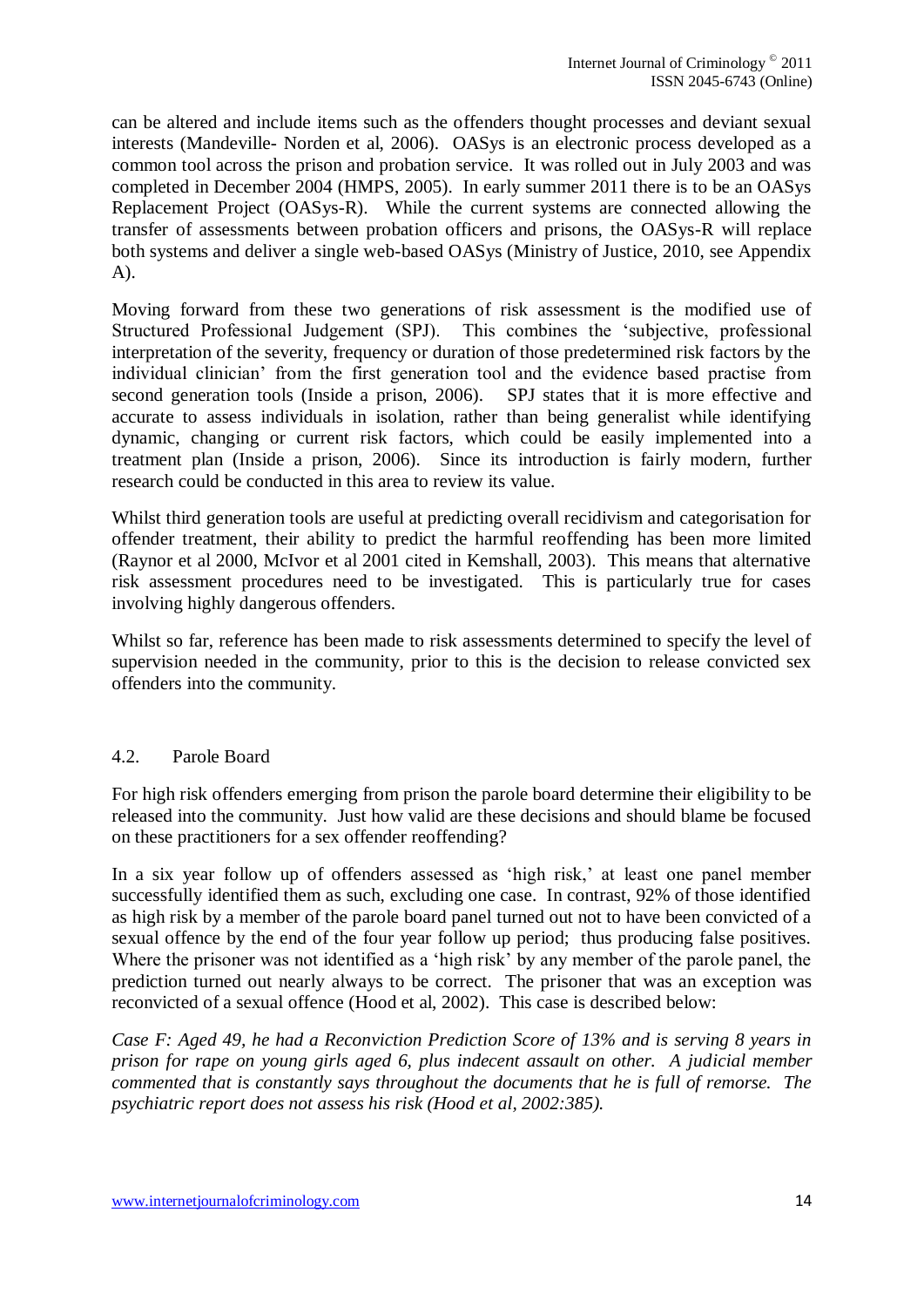can be altered and include items such as the offenders thought processes and deviant sexual interests (Mandeville- Norden et al, 2006). OASys is an electronic process developed as a common tool across the prison and probation service. It was rolled out in July 2003 and was completed in December 2004 (HMPS, 2005). In early summer 2011 there is to be an OASys Replacement Project (OASys-R). While the current systems are connected allowing the transfer of assessments between probation officers and prisons, the OASys-R will replace both systems and deliver a single web-based OASys (Ministry of Justice, 2010, see Appendix A).

Moving forward from these two generations of risk assessment is the modified use of Structured Professional Judgement (SPJ). This combines the "subjective, professional interpretation of the severity, frequency or duration of those predetermined risk factors by the individual clinician" from the first generation tool and the evidence based practise from second generation tools (Inside a prison, 2006). SPJ states that it is more effective and accurate to assess individuals in isolation, rather than being generalist while identifying dynamic, changing or current risk factors, which could be easily implemented into a treatment plan (Inside a prison, 2006). Since its introduction is fairly modern, further research could be conducted in this area to review its value.

Whilst third generation tools are useful at predicting overall recidivism and categorisation for offender treatment, their ability to predict the harmful reoffending has been more limited (Raynor et al 2000, McIvor et al 2001 cited in Kemshall, 2003). This means that alternative risk assessment procedures need to be investigated. This is particularly true for cases involving highly dangerous offenders.

Whilst so far, reference has been made to risk assessments determined to specify the level of supervision needed in the community, prior to this is the decision to release convicted sex offenders into the community.

#### 4.2. Parole Board

For high risk offenders emerging from prison the parole board determine their eligibility to be released into the community. Just how valid are these decisions and should blame be focused on these practitioners for a sex offender reoffending?

In a six year follow up of offenders assessed as 'high risk,' at least one panel member successfully identified them as such, excluding one case. In contrast, 92% of those identified as high risk by a member of the parole board panel turned out not to have been convicted of a sexual offence by the end of the four year follow up period; thus producing false positives. Where the prisoner was not identified as a 'high risk' by any member of the parole panel, the prediction turned out nearly always to be correct. The prisoner that was an exception was reconvicted of a sexual offence (Hood et al, 2002). This case is described below:

*Case F: Aged 49, he had a Reconviction Prediction Score of 13% and is serving 8 years in prison for rape on young girls aged 6, plus indecent assault on other. A judicial member commented that is constantly says throughout the documents that he is full of remorse. The psychiatric report does not assess his risk (Hood et al, 2002:385).*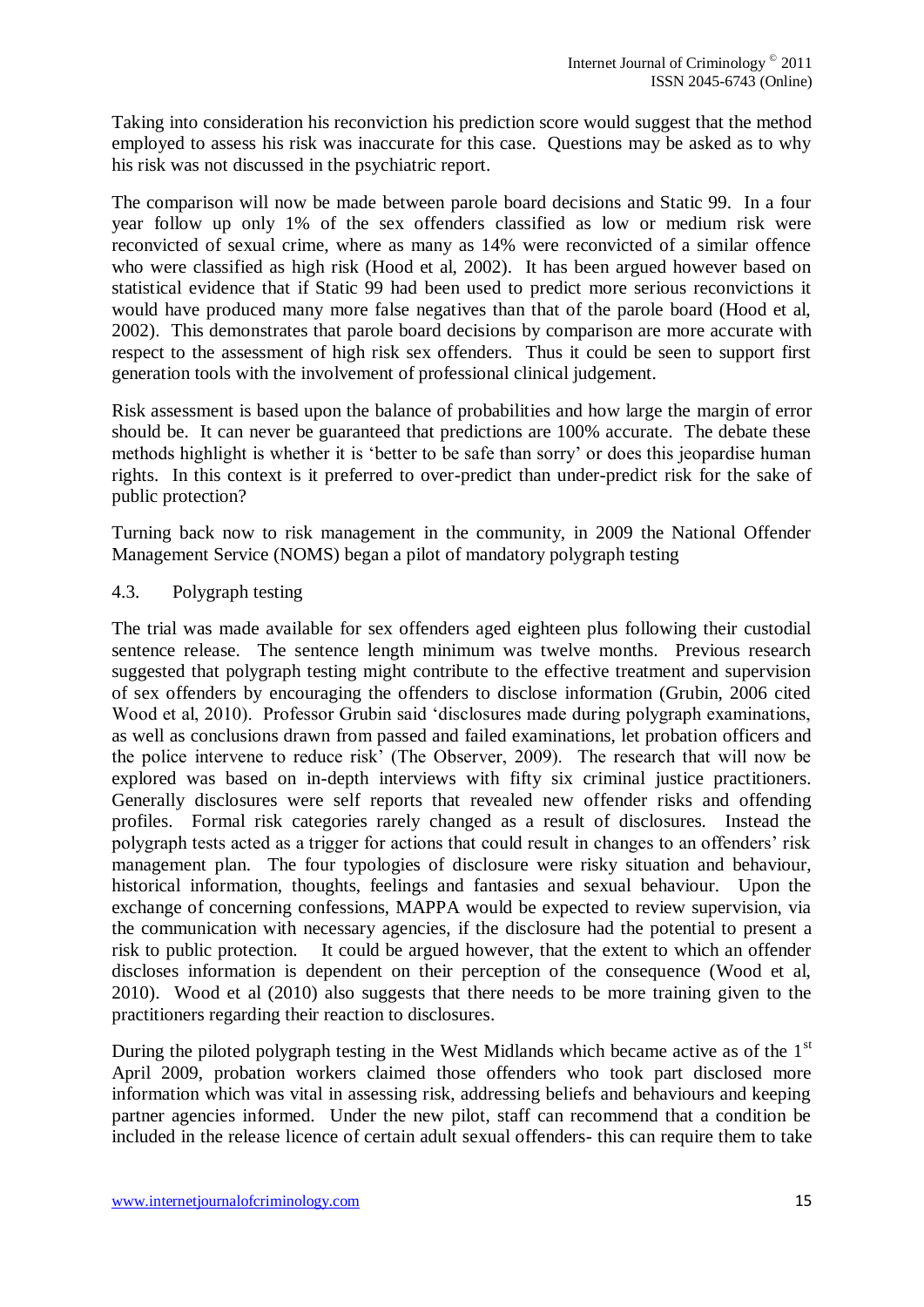Taking into consideration his reconviction his prediction score would suggest that the method employed to assess his risk was inaccurate for this case. Questions may be asked as to why his risk was not discussed in the psychiatric report.

The comparison will now be made between parole board decisions and Static 99. In a four year follow up only 1% of the sex offenders classified as low or medium risk were reconvicted of sexual crime, where as many as 14% were reconvicted of a similar offence who were classified as high risk (Hood et al, 2002). It has been argued however based on statistical evidence that if Static 99 had been used to predict more serious reconvictions it would have produced many more false negatives than that of the parole board (Hood et al, 2002). This demonstrates that parole board decisions by comparison are more accurate with respect to the assessment of high risk sex offenders. Thus it could be seen to support first generation tools with the involvement of professional clinical judgement.

Risk assessment is based upon the balance of probabilities and how large the margin of error should be. It can never be guaranteed that predictions are 100% accurate. The debate these methods highlight is whether it is 'better to be safe than sorry' or does this jeopardise human rights. In this context is it preferred to over-predict than under-predict risk for the sake of public protection?

Turning back now to risk management in the community, in 2009 the National Offender Management Service (NOMS) began a pilot of mandatory polygraph testing

#### 4.3. Polygraph testing

The trial was made available for sex offenders aged eighteen plus following their custodial sentence release. The sentence length minimum was twelve months. Previous research suggested that polygraph testing might contribute to the effective treatment and supervision of sex offenders by encouraging the offenders to disclose information (Grubin, 2006 cited Wood et al, 2010). Professor Grubin said "disclosures made during polygraph examinations, as well as conclusions drawn from passed and failed examinations, let probation officers and the police intervene to reduce risk" (The Observer, 2009). The research that will now be explored was based on in-depth interviews with fifty six criminal justice practitioners. Generally disclosures were self reports that revealed new offender risks and offending profiles. Formal risk categories rarely changed as a result of disclosures. Instead the polygraph tests acted as a trigger for actions that could result in changes to an offenders" risk management plan. The four typologies of disclosure were risky situation and behaviour, historical information, thoughts, feelings and fantasies and sexual behaviour. Upon the exchange of concerning confessions, MAPPA would be expected to review supervision, via the communication with necessary agencies, if the disclosure had the potential to present a risk to public protection. It could be argued however, that the extent to which an offender discloses information is dependent on their perception of the consequence (Wood et al, 2010). Wood et al (2010) also suggests that there needs to be more training given to the practitioners regarding their reaction to disclosures.

During the piloted polygraph testing in the West Midlands which became active as of the  $1<sup>st</sup>$ April 2009, probation workers claimed those offenders who took part disclosed more information which was vital in assessing risk, addressing beliefs and behaviours and keeping partner agencies informed. Under the new pilot, staff can recommend that a condition be included in the release licence of certain adult sexual offenders- this can require them to take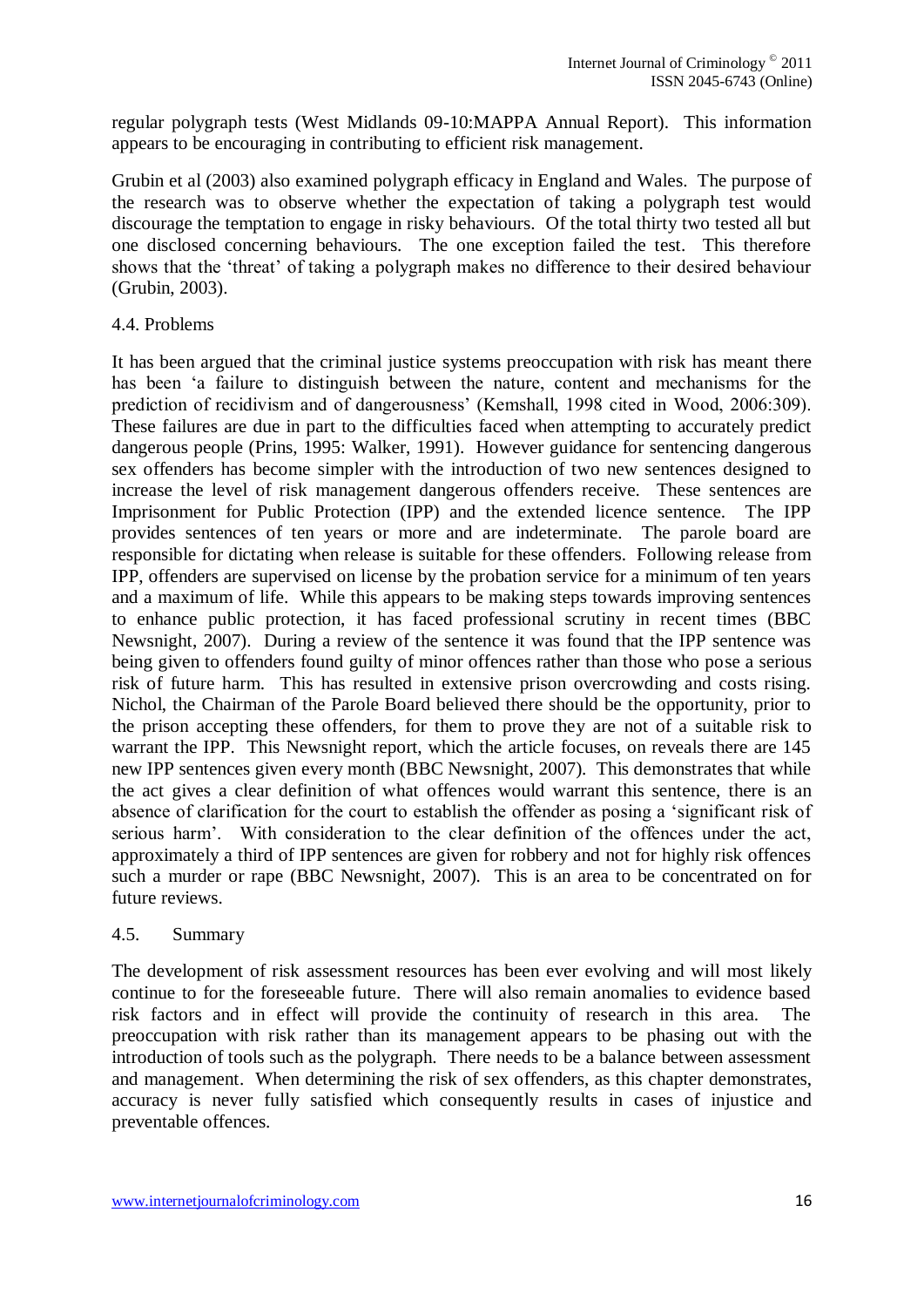regular polygraph tests (West Midlands 09-10:MAPPA Annual Report). This information appears to be encouraging in contributing to efficient risk management.

Grubin et al (2003) also examined polygraph efficacy in England and Wales. The purpose of the research was to observe whether the expectation of taking a polygraph test would discourage the temptation to engage in risky behaviours. Of the total thirty two tested all but one disclosed concerning behaviours. The one exception failed the test. This therefore shows that the "threat" of taking a polygraph makes no difference to their desired behaviour (Grubin, 2003).

#### 4.4. Problems

It has been argued that the criminal justice systems preoccupation with risk has meant there has been "a failure to distinguish between the nature, content and mechanisms for the prediction of recidivism and of dangerousness" (Kemshall, 1998 cited in Wood, 2006:309). These failures are due in part to the difficulties faced when attempting to accurately predict dangerous people (Prins, 1995: Walker, 1991). However guidance for sentencing dangerous sex offenders has become simpler with the introduction of two new sentences designed to increase the level of risk management dangerous offenders receive. These sentences are Imprisonment for Public Protection (IPP) and the extended licence sentence. The IPP provides sentences of ten years or more and are indeterminate. The parole board are responsible for dictating when release is suitable for these offenders. Following release from IPP, offenders are supervised on license by the probation service for a minimum of ten years and a maximum of life. While this appears to be making steps towards improving sentences to enhance public protection, it has faced professional scrutiny in recent times (BBC Newsnight, 2007). During a review of the sentence it was found that the IPP sentence was being given to offenders found guilty of minor offences rather than those who pose a serious risk of future harm. This has resulted in extensive prison overcrowding and costs rising. Nichol, the Chairman of the Parole Board believed there should be the opportunity, prior to the prison accepting these offenders, for them to prove they are not of a suitable risk to warrant the IPP. This Newsnight report, which the article focuses, on reveals there are 145 new IPP sentences given every month (BBC Newsnight, 2007). This demonstrates that while the act gives a clear definition of what offences would warrant this sentence, there is an absence of clarification for the court to establish the offender as posing a "significant risk of serious harm". With consideration to the clear definition of the offences under the act, approximately a third of IPP sentences are given for robbery and not for highly risk offences such a murder or rape (BBC Newsnight, 2007). This is an area to be concentrated on for future reviews.

## 4.5. Summary

The development of risk assessment resources has been ever evolving and will most likely continue to for the foreseeable future. There will also remain anomalies to evidence based risk factors and in effect will provide the continuity of research in this area. The preoccupation with risk rather than its management appears to be phasing out with the introduction of tools such as the polygraph. There needs to be a balance between assessment and management. When determining the risk of sex offenders, as this chapter demonstrates, accuracy is never fully satisfied which consequently results in cases of injustice and preventable offences.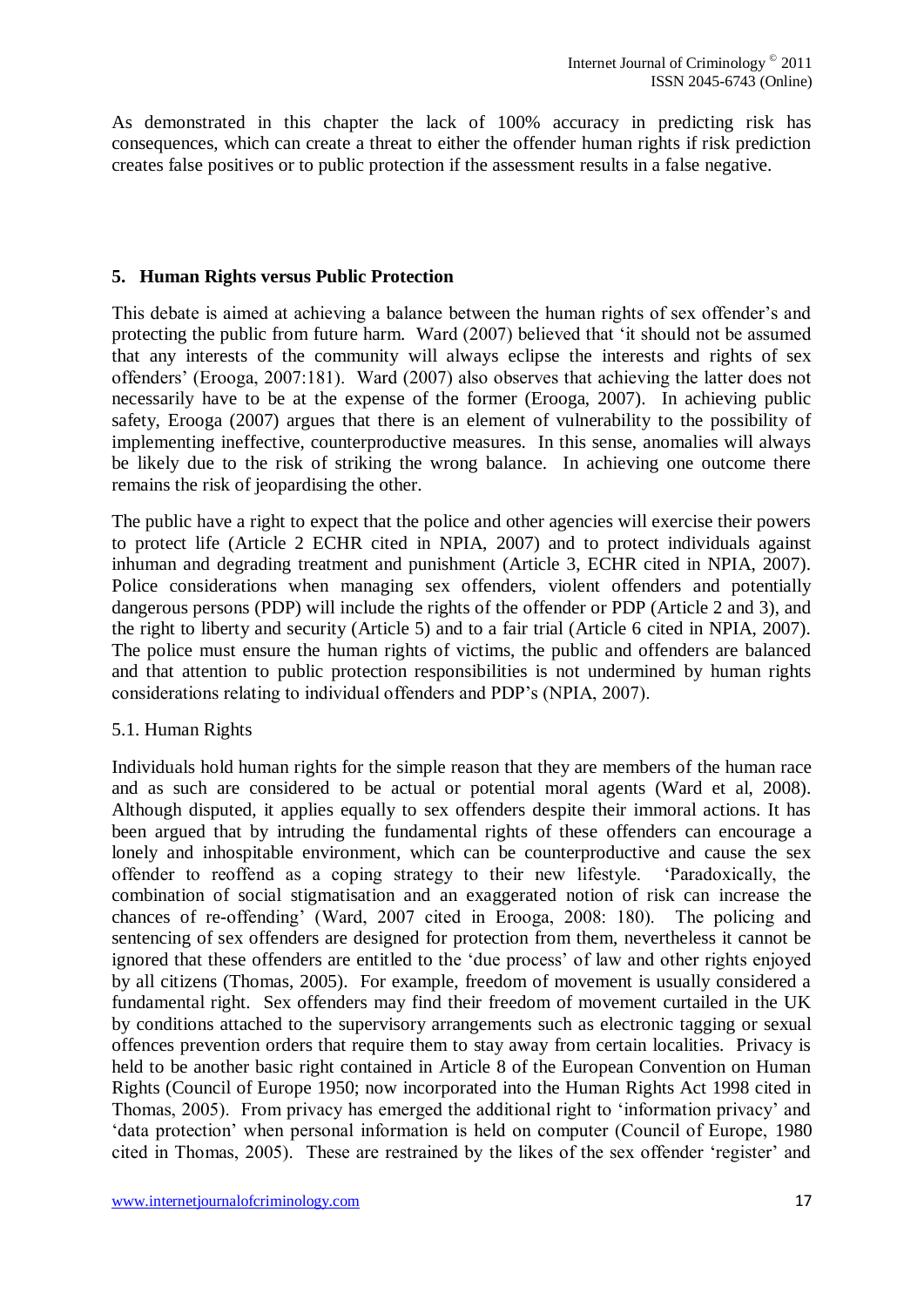As demonstrated in this chapter the lack of 100% accuracy in predicting risk has consequences, which can create a threat to either the offender human rights if risk prediction creates false positives or to public protection if the assessment results in a false negative.

## **5. Human Rights versus Public Protection**

This debate is aimed at achieving a balance between the human rights of sex offender"s and protecting the public from future harm. Ward (2007) believed that "it should not be assumed that any interests of the community will always eclipse the interests and rights of sex offenders" (Erooga, 2007:181). Ward (2007) also observes that achieving the latter does not necessarily have to be at the expense of the former (Erooga, 2007). In achieving public safety, Erooga (2007) argues that there is an element of vulnerability to the possibility of implementing ineffective, counterproductive measures. In this sense, anomalies will always be likely due to the risk of striking the wrong balance. In achieving one outcome there remains the risk of jeopardising the other.

The public have a right to expect that the police and other agencies will exercise their powers to protect life (Article 2 ECHR cited in NPIA, 2007) and to protect individuals against inhuman and degrading treatment and punishment (Article 3, ECHR cited in NPIA, 2007). Police considerations when managing sex offenders, violent offenders and potentially dangerous persons (PDP) will include the rights of the offender or PDP (Article 2 and 3), and the right to liberty and security (Article 5) and to a fair trial (Article 6 cited in NPIA, 2007). The police must ensure the human rights of victims, the public and offenders are balanced and that attention to public protection responsibilities is not undermined by human rights considerations relating to individual offenders and PDP"s (NPIA, 2007).

#### 5.1. Human Rights

Individuals hold human rights for the simple reason that they are members of the human race and as such are considered to be actual or potential moral agents (Ward et al, 2008). Although disputed, it applies equally to sex offenders despite their immoral actions. It has been argued that by intruding the fundamental rights of these offenders can encourage a lonely and inhospitable environment, which can be counterproductive and cause the sex offender to reoffend as a coping strategy to their new lifestyle. "Paradoxically, the combination of social stigmatisation and an exaggerated notion of risk can increase the chances of re-offending" (Ward, 2007 cited in Erooga, 2008: 180). The policing and sentencing of sex offenders are designed for protection from them, nevertheless it cannot be ignored that these offenders are entitled to the "due process" of law and other rights enjoyed by all citizens (Thomas, 2005). For example, freedom of movement is usually considered a fundamental right. Sex offenders may find their freedom of movement curtailed in the UK by conditions attached to the supervisory arrangements such as electronic tagging or sexual offences prevention orders that require them to stay away from certain localities. Privacy is held to be another basic right contained in Article 8 of the European Convention on Human Rights (Council of Europe 1950; now incorporated into the Human Rights Act 1998 cited in Thomas, 2005). From privacy has emerged the additional right to "information privacy" and "data protection" when personal information is held on computer (Council of Europe, 1980 cited in Thomas, 2005). These are restrained by the likes of the sex offender "register" and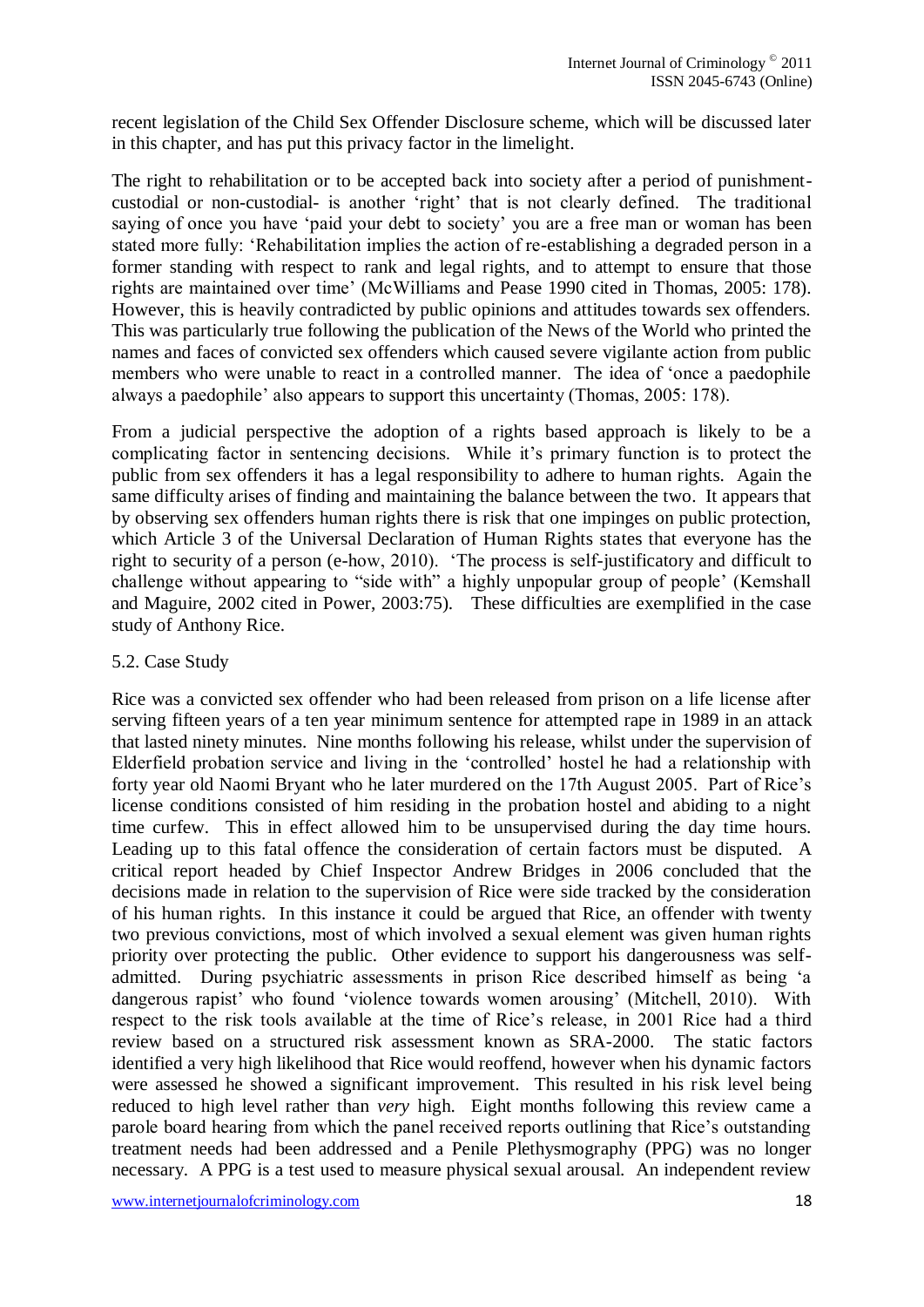recent legislation of the Child Sex Offender Disclosure scheme, which will be discussed later in this chapter, and has put this privacy factor in the limelight.

The right to rehabilitation or to be accepted back into society after a period of punishmentcustodial or non-custodial- is another "right" that is not clearly defined. The traditional saying of once you have 'paid your debt to society' you are a free man or woman has been stated more fully: "Rehabilitation implies the action of re-establishing a degraded person in a former standing with respect to rank and legal rights, and to attempt to ensure that those rights are maintained over time" (McWilliams and Pease 1990 cited in Thomas, 2005: 178). However, this is heavily contradicted by public opinions and attitudes towards sex offenders. This was particularly true following the publication of the News of the World who printed the names and faces of convicted sex offenders which caused severe vigilante action from public members who were unable to react in a controlled manner. The idea of "once a paedophile always a paedophile" also appears to support this uncertainty (Thomas, 2005: 178).

From a judicial perspective the adoption of a rights based approach is likely to be a complicating factor in sentencing decisions. While it's primary function is to protect the public from sex offenders it has a legal responsibility to adhere to human rights. Again the same difficulty arises of finding and maintaining the balance between the two. It appears that by observing sex offenders human rights there is risk that one impinges on public protection, which Article 3 of the Universal Declaration of Human Rights states that everyone has the right to security of a person (e-how, 2010). "The process is self-justificatory and difficult to challenge without appearing to "side with" a highly unpopular group of people" (Kemshall and Maguire, 2002 cited in Power, 2003:75). These difficulties are exemplified in the case study of Anthony Rice.

#### 5.2. Case Study

Rice was a convicted sex offender who had been released from prison on a life license after serving fifteen years of a ten year minimum sentence for attempted rape in 1989 in an attack that lasted ninety minutes. Nine months following his release, whilst under the supervision of Elderfield probation service and living in the "controlled" hostel he had a relationship with forty year old Naomi Bryant who he later murdered on the 17th August 2005. Part of Rice"s license conditions consisted of him residing in the probation hostel and abiding to a night time curfew. This in effect allowed him to be unsupervised during the day time hours. Leading up to this fatal offence the consideration of certain factors must be disputed. A critical report headed by Chief Inspector Andrew Bridges in 2006 concluded that the decisions made in relation to the supervision of Rice were side tracked by the consideration of his human rights. In this instance it could be argued that Rice, an offender with twenty two previous convictions, most of which involved a sexual element was given human rights priority over protecting the public. Other evidence to support his dangerousness was selfadmitted. During psychiatric assessments in prison Rice described himself as being "a dangerous rapist' who found 'violence towards women arousing' (Mitchell, 2010). With respect to the risk tools available at the time of Rice"s release, in 2001 Rice had a third review based on a structured risk assessment known as SRA-2000. The static factors identified a very high likelihood that Rice would reoffend, however when his dynamic factors were assessed he showed a significant improvement. This resulted in his risk level being reduced to high level rather than *very* high. Eight months following this review came a parole board hearing from which the panel received reports outlining that Rice"s outstanding treatment needs had been addressed and a Penile Plethysmography (PPG) was no longer necessary. A PPG is a test used to measure physical sexual arousal. An independent review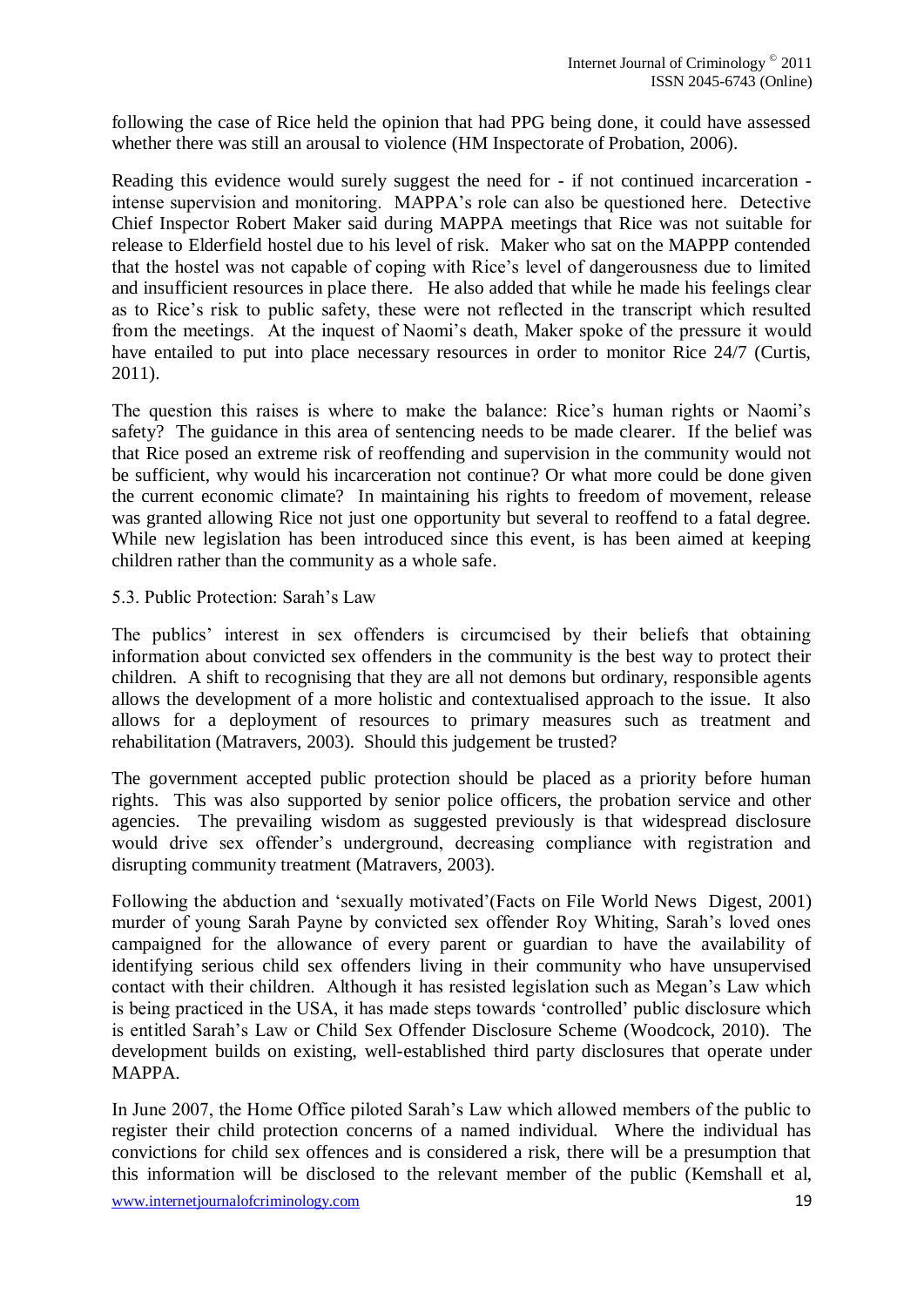following the case of Rice held the opinion that had PPG being done, it could have assessed whether there was still an arousal to violence (HM Inspectorate of Probation, 2006).

Reading this evidence would surely suggest the need for - if not continued incarceration intense supervision and monitoring. MAPPA's role can also be questioned here. Detective Chief Inspector Robert Maker said during MAPPA meetings that Rice was not suitable for release to Elderfield hostel due to his level of risk. Maker who sat on the MAPPP contended that the hostel was not capable of coping with Rice"s level of dangerousness due to limited and insufficient resources in place there. He also added that while he made his feelings clear as to Rice"s risk to public safety, these were not reflected in the transcript which resulted from the meetings. At the inquest of Naomi"s death, Maker spoke of the pressure it would have entailed to put into place necessary resources in order to monitor Rice 24/7 (Curtis, 2011).

The question this raises is where to make the balance: Rice"s human rights or Naomi"s safety? The guidance in this area of sentencing needs to be made clearer. If the belief was that Rice posed an extreme risk of reoffending and supervision in the community would not be sufficient, why would his incarceration not continue? Or what more could be done given the current economic climate? In maintaining his rights to freedom of movement, release was granted allowing Rice not just one opportunity but several to reoffend to a fatal degree. While new legislation has been introduced since this event, is has been aimed at keeping children rather than the community as a whole safe.

#### 5.3. Public Protection: Sarah"s Law

The publics' interest in sex offenders is circumcised by their beliefs that obtaining information about convicted sex offenders in the community is the best way to protect their children. A shift to recognising that they are all not demons but ordinary, responsible agents allows the development of a more holistic and contextualised approach to the issue. It also allows for a deployment of resources to primary measures such as treatment and rehabilitation (Matravers, 2003). Should this judgement be trusted?

The government accepted public protection should be placed as a priority before human rights. This was also supported by senior police officers, the probation service and other agencies. The prevailing wisdom as suggested previously is that widespread disclosure would drive sex offender"s underground, decreasing compliance with registration and disrupting community treatment (Matravers, 2003).

Following the abduction and "sexually motivated"(Facts on File World News Digest, 2001) murder of young Sarah Payne by convicted sex offender Roy Whiting, Sarah's loved ones campaigned for the allowance of every parent or guardian to have the availability of identifying serious child sex offenders living in their community who have unsupervised contact with their children. Although it has resisted legislation such as Megan"s Law which is being practiced in the USA, it has made steps towards "controlled" public disclosure which is entitled Sarah"s Law or Child Sex Offender Disclosure Scheme (Woodcock, 2010). The development builds on existing, well-established third party disclosures that operate under MAPPA.

In June 2007, the Home Office piloted Sarah"s Law which allowed members of the public to register their child protection concerns of a named individual. Where the individual has convictions for child sex offences and is considered a risk, there will be a presumption that this information will be disclosed to the relevant member of the public (Kemshall et al,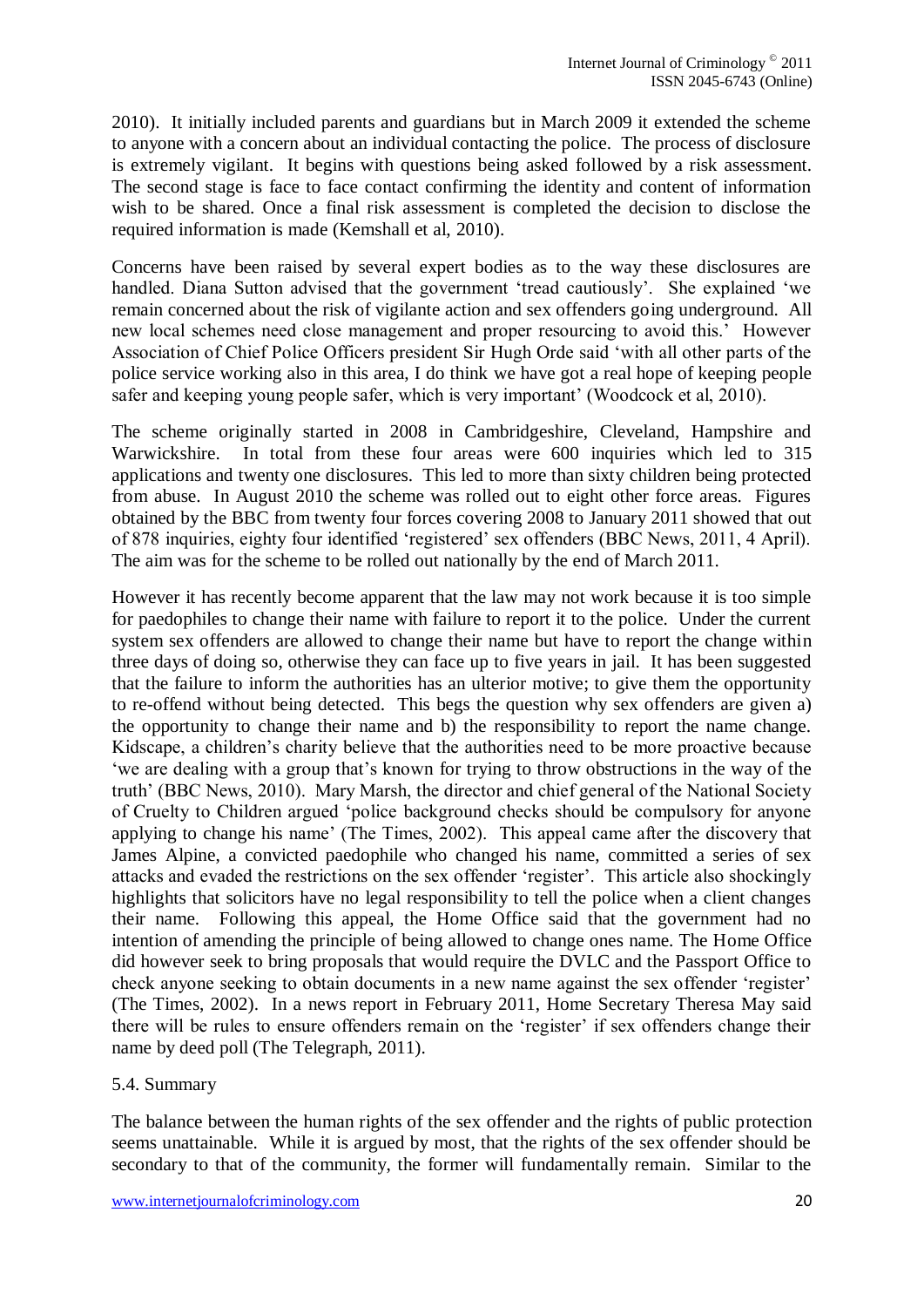2010). It initially included parents and guardians but in March 2009 it extended the scheme to anyone with a concern about an individual contacting the police. The process of disclosure is extremely vigilant. It begins with questions being asked followed by a risk assessment. The second stage is face to face contact confirming the identity and content of information wish to be shared. Once a final risk assessment is completed the decision to disclose the required information is made (Kemshall et al, 2010).

Concerns have been raised by several expert bodies as to the way these disclosures are handled. Diana Sutton advised that the government "tread cautiously". She explained "we remain concerned about the risk of vigilante action and sex offenders going underground. All new local schemes need close management and proper resourcing to avoid this." However Association of Chief Police Officers president Sir Hugh Orde said "with all other parts of the police service working also in this area, I do think we have got a real hope of keeping people safer and keeping young people safer, which is very important' (Woodcock et al, 2010).

The scheme originally started in 2008 in Cambridgeshire, Cleveland, Hampshire and Warwickshire. In total from these four areas were 600 inquiries which led to 315 applications and twenty one disclosures. This led to more than sixty children being protected from abuse. In August 2010 the scheme was rolled out to eight other force areas. Figures obtained by the BBC from twenty four forces covering 2008 to January 2011 showed that out of 878 inquiries, eighty four identified "registered" sex offenders (BBC News, 2011, 4 April). The aim was for the scheme to be rolled out nationally by the end of March 2011.

However it has recently become apparent that the law may not work because it is too simple for paedophiles to change their name with failure to report it to the police. Under the current system sex offenders are allowed to change their name but have to report the change within three days of doing so, otherwise they can face up to five years in jail. It has been suggested that the failure to inform the authorities has an ulterior motive; to give them the opportunity to re-offend without being detected. This begs the question why sex offenders are given a) the opportunity to change their name and b) the responsibility to report the name change. Kidscape, a children's charity believe that the authorities need to be more proactive because 'we are dealing with a group that's known for trying to throw obstructions in the way of the truth" (BBC News, 2010). Mary Marsh, the director and chief general of the National Society of Cruelty to Children argued "police background checks should be compulsory for anyone applying to change his name" (The Times, 2002). This appeal came after the discovery that James Alpine, a convicted paedophile who changed his name, committed a series of sex attacks and evaded the restrictions on the sex offender "register". This article also shockingly highlights that solicitors have no legal responsibility to tell the police when a client changes their name. Following this appeal, the Home Office said that the government had no intention of amending the principle of being allowed to change ones name. The Home Office did however seek to bring proposals that would require the DVLC and the Passport Office to check anyone seeking to obtain documents in a new name against the sex offender "register" (The Times, 2002). In a news report in February 2011, Home Secretary Theresa May said there will be rules to ensure offenders remain on the "register" if sex offenders change their name by deed poll (The Telegraph, 2011).

#### 5.4. Summary

The balance between the human rights of the sex offender and the rights of public protection seems unattainable. While it is argued by most, that the rights of the sex offender should be secondary to that of the community, the former will fundamentally remain. Similar to the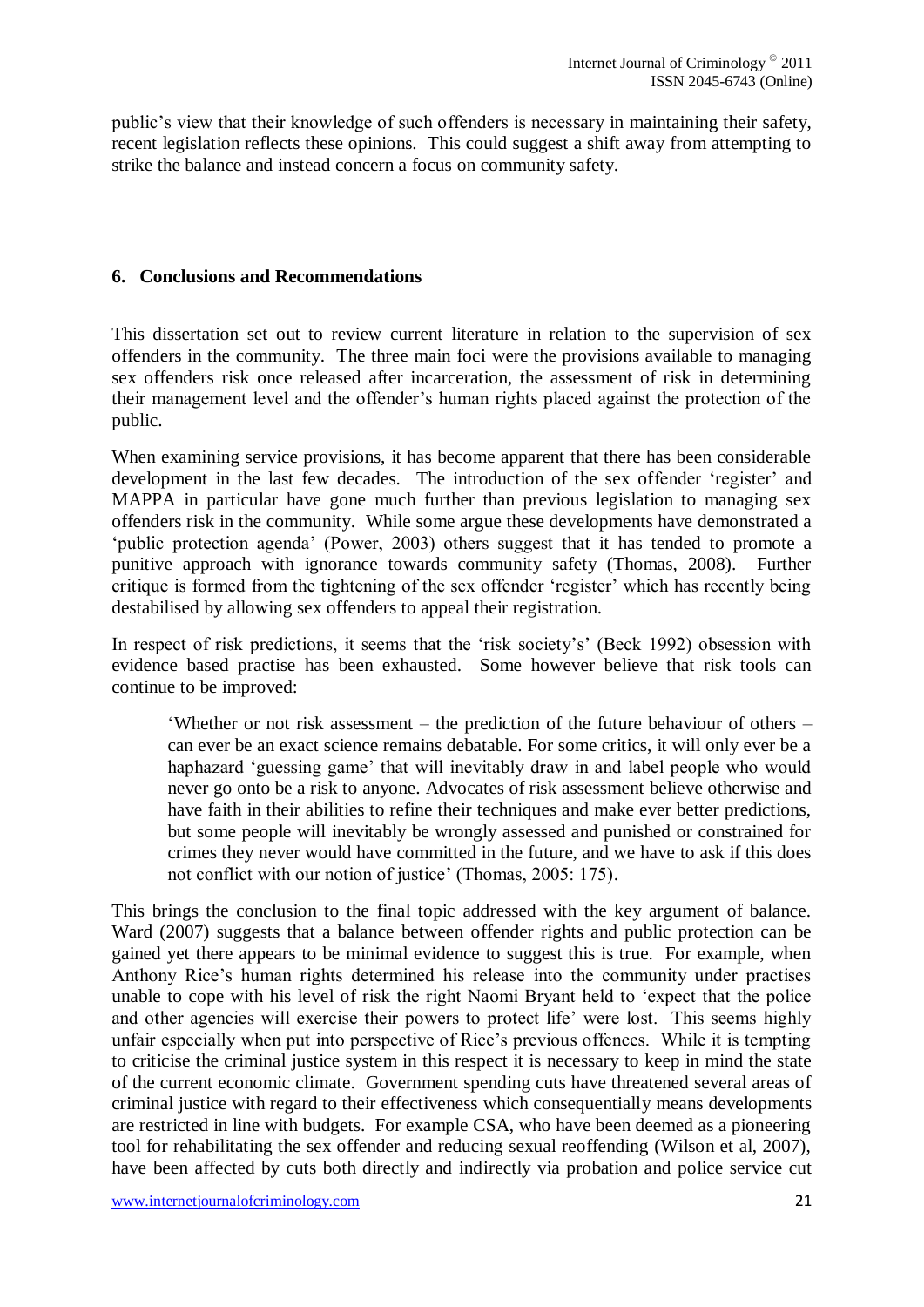public"s view that their knowledge of such offenders is necessary in maintaining their safety, recent legislation reflects these opinions. This could suggest a shift away from attempting to strike the balance and instead concern a focus on community safety.

#### **6. Conclusions and Recommendations**

This dissertation set out to review current literature in relation to the supervision of sex offenders in the community. The three main foci were the provisions available to managing sex offenders risk once released after incarceration, the assessment of risk in determining their management level and the offender"s human rights placed against the protection of the public.

When examining service provisions, it has become apparent that there has been considerable development in the last few decades. The introduction of the sex offender 'register' and MAPPA in particular have gone much further than previous legislation to managing sex offenders risk in the community. While some argue these developments have demonstrated a "public protection agenda" (Power, 2003) others suggest that it has tended to promote a punitive approach with ignorance towards community safety (Thomas, 2008). Further critique is formed from the tightening of the sex offender "register" which has recently being destabilised by allowing sex offenders to appeal their registration.

In respect of risk predictions, it seems that the 'risk society's' (Beck 1992) obsession with evidence based practise has been exhausted. Some however believe that risk tools can continue to be improved:

"Whether or not risk assessment – the prediction of the future behaviour of others – can ever be an exact science remains debatable. For some critics, it will only ever be a haphazard 'guessing game' that will inevitably draw in and label people who would never go onto be a risk to anyone. Advocates of risk assessment believe otherwise and have faith in their abilities to refine their techniques and make ever better predictions, but some people will inevitably be wrongly assessed and punished or constrained for crimes they never would have committed in the future, and we have to ask if this does not conflict with our notion of justice' (Thomas, 2005: 175).

This brings the conclusion to the final topic addressed with the key argument of balance. Ward (2007) suggests that a balance between offender rights and public protection can be gained yet there appears to be minimal evidence to suggest this is true. For example, when Anthony Rice"s human rights determined his release into the community under practises unable to cope with his level of risk the right Naomi Bryant held to "expect that the police and other agencies will exercise their powers to protect life' were lost. This seems highly unfair especially when put into perspective of Rice"s previous offences. While it is tempting to criticise the criminal justice system in this respect it is necessary to keep in mind the state of the current economic climate. Government spending cuts have threatened several areas of criminal justice with regard to their effectiveness which consequentially means developments are restricted in line with budgets. For example CSA, who have been deemed as a pioneering tool for rehabilitating the sex offender and reducing sexual reoffending (Wilson et al, 2007), have been affected by cuts both directly and indirectly via probation and police service cut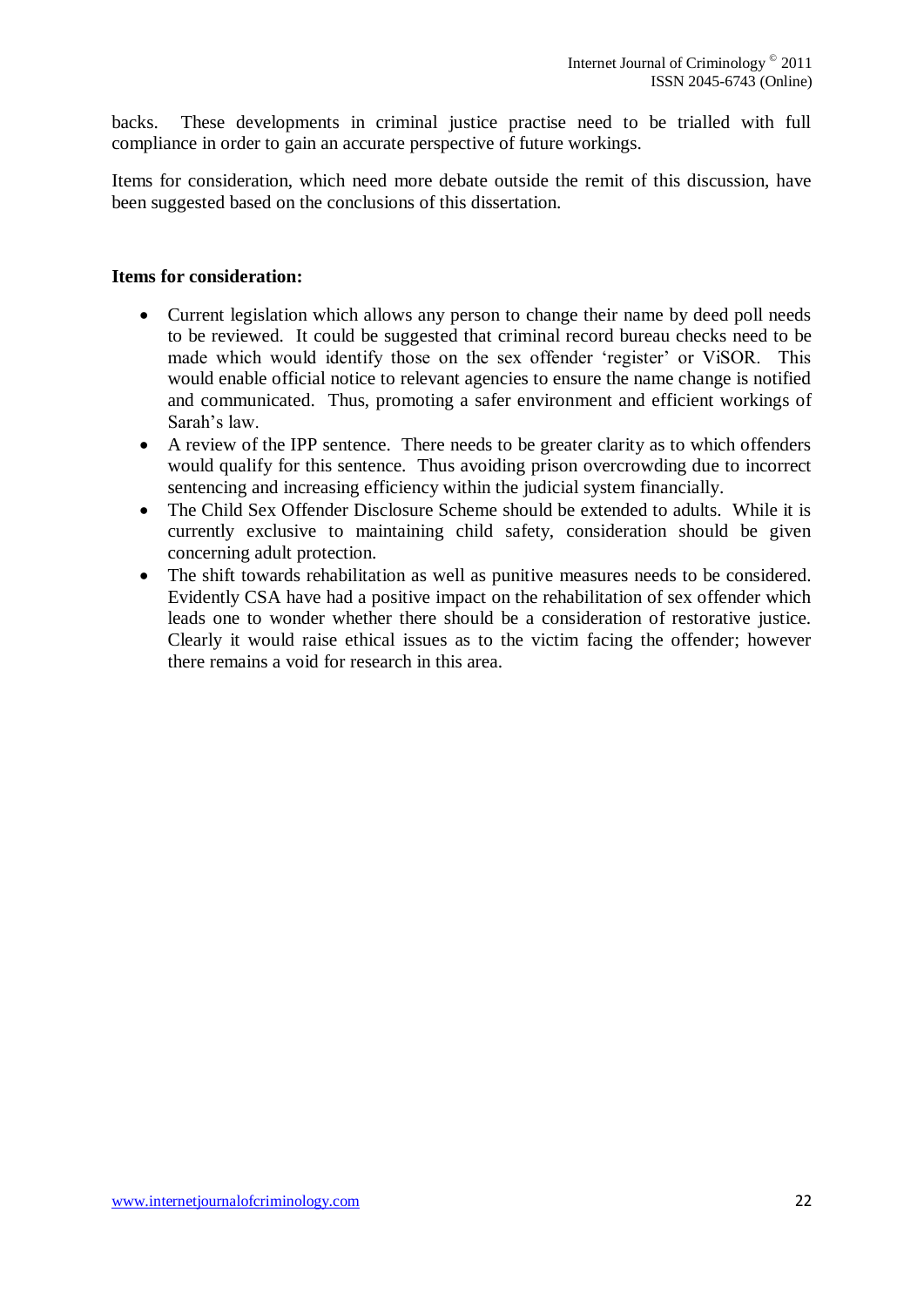backs. These developments in criminal justice practise need to be trialled with full compliance in order to gain an accurate perspective of future workings.

Items for consideration, which need more debate outside the remit of this discussion, have been suggested based on the conclusions of this dissertation.

#### **Items for consideration:**

- Current legislation which allows any person to change their name by deed poll needs to be reviewed. It could be suggested that criminal record bureau checks need to be made which would identify those on the sex offender 'register' or ViSOR. This would enable official notice to relevant agencies to ensure the name change is notified and communicated. Thus, promoting a safer environment and efficient workings of Sarah"s law.
- A review of the IPP sentence. There needs to be greater clarity as to which offenders would qualify for this sentence. Thus avoiding prison overcrowding due to incorrect sentencing and increasing efficiency within the judicial system financially.
- The Child Sex Offender Disclosure Scheme should be extended to adults. While it is currently exclusive to maintaining child safety, consideration should be given concerning adult protection.
- The shift towards rehabilitation as well as punitive measures needs to be considered. Evidently CSA have had a positive impact on the rehabilitation of sex offender which leads one to wonder whether there should be a consideration of restorative justice. Clearly it would raise ethical issues as to the victim facing the offender; however there remains a void for research in this area.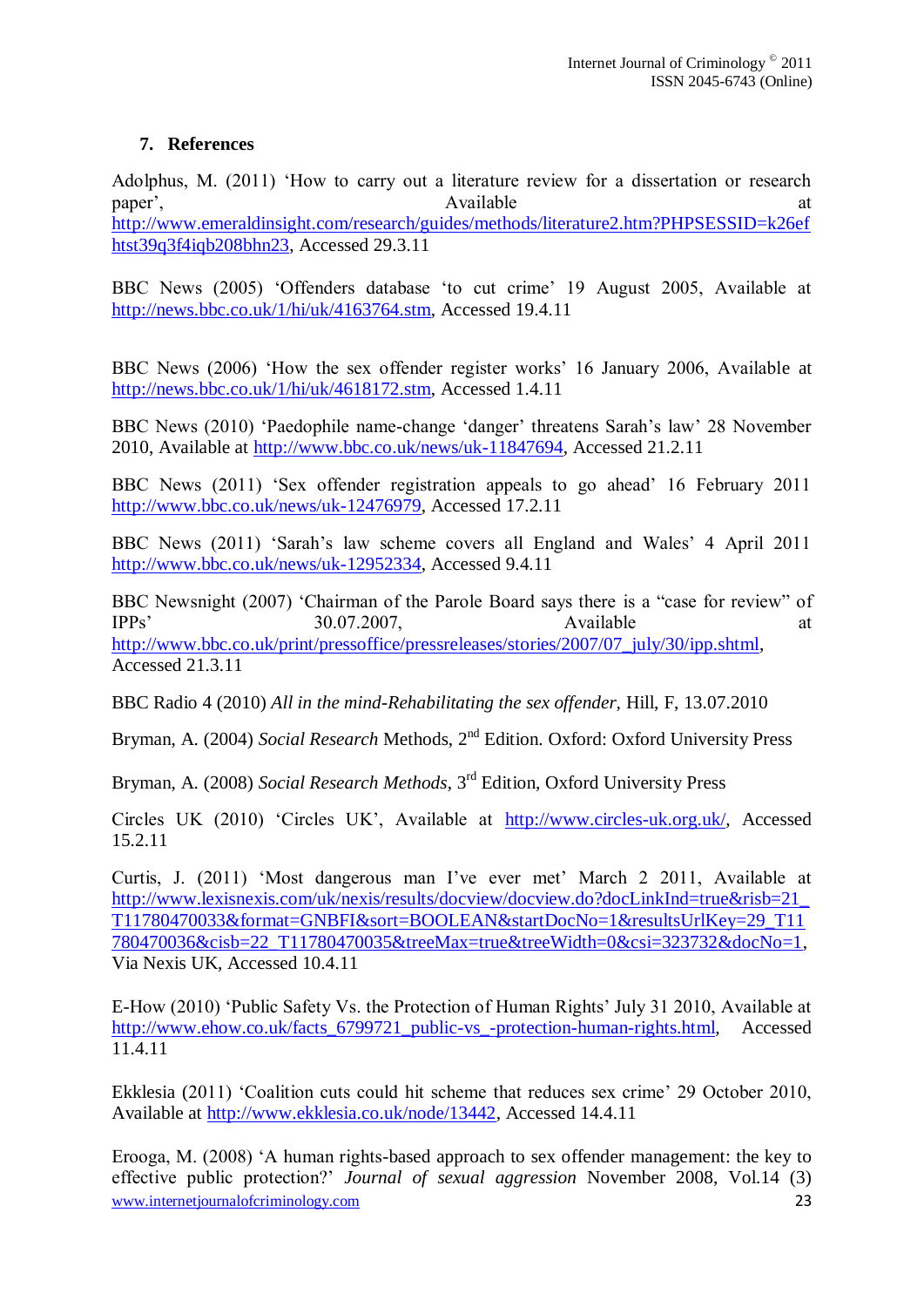## **7. References**

Adolphus, M. (2011) "How to carry out a literature review for a dissertation or research paper', and a control at a control at a control at a control at a control at a control at a control at a control at a control at a control at a control at a control at a control at a control at a control at a control at a [http://www.emeraldinsight.com/research/guides/methods/literature2.htm?PHPSESSID=k26ef](http://www.emeraldinsight.com/research/guides/methods/literature2.htm?PHPSESSID=k26efhtst39q3f4iqb208bhn23) [htst39q3f4iqb208bhn23,](http://www.emeraldinsight.com/research/guides/methods/literature2.htm?PHPSESSID=k26efhtst39q3f4iqb208bhn23) Accessed 29.3.11

BBC News (2005) 'Offenders database 'to cut crime' 19 August 2005, Available at [http://news.bbc.co.uk/1/hi/uk/4163764.stm,](http://news.bbc.co.uk/1/hi/uk/4163764.stm) Accessed 19.4.11

BBC News (2006) 'How the sex offender register works' 16 January 2006, Available at [http://news.bbc.co.uk/1/hi/uk/4618172.stm,](http://news.bbc.co.uk/1/hi/uk/4618172.stm) Accessed 1.4.11

BBC News (2010) "Paedophile name-change "danger" threatens Sarah"s law" 28 November 2010, Available at [http://www.bbc.co.uk/news/uk-11847694,](http://www.bbc.co.uk/news/uk-11847694) Accessed 21.2.11

BBC News (2011) 'Sex offender registration appeals to go ahead' 16 February 2011 [http://www.bbc.co.uk/news/uk-12476979,](http://www.bbc.co.uk/news/uk-12476979) Accessed 17.2.11

BBC News (2011) "Sarah"s law scheme covers all England and Wales" 4 April 2011 [http://www.bbc.co.uk/news/uk-12952334,](http://www.bbc.co.uk/news/uk-12952334) Accessed 9.4.11

BBC Newsnight (2007) "Chairman of the Parole Board says there is a "case for review" of IPPs' 30.07.2007, Available at a [http://www.bbc.co.uk/print/pressoffice/pressreleases/stories/2007/07\\_july/30/ipp.shtml,](http://www.bbc.co.uk/print/pressoffice/pressreleases/stories/2007/07_july/30/ipp.shtml) Accessed 21.3.11

BBC Radio 4 (2010) *All in the mind-Rehabilitating the sex offender,* Hill, F, 13.07.2010

Bryman, A. (2004) *Social Research* Methods, 2nd Edition. Oxford: Oxford University Press

Bryman, A. (2008) *Social Research Methods*, 3rd Edition, Oxford University Press

Circles UK (2010) "Circles UK", Available at [http://www.circles-uk.org.uk/,](http://www.circles-uk.org.uk/) Accessed 15.2.11

Curtis, J. (2011) "Most dangerous man I"ve ever met" March 2 2011, Available at [http://www.lexisnexis.com/uk/nexis/results/docview/docview.do?docLinkInd=true&risb=21\\_](http://www.lexisnexis.com/uk/nexis/results/docview/docview.do?docLinkInd=true&risb=21_T11780470033&format=GNBFI&sort=BOOLEAN&startDocNo=1&resultsUrlKey=29_T11780470036&cisb=22_T11780470035&treeMax=true&treeWidth=0&csi=323732&docNo=1) [T11780470033&format=GNBFI&sort=BOOLEAN&startDocNo=1&resultsUrlKey=29\\_T11](http://www.lexisnexis.com/uk/nexis/results/docview/docview.do?docLinkInd=true&risb=21_T11780470033&format=GNBFI&sort=BOOLEAN&startDocNo=1&resultsUrlKey=29_T11780470036&cisb=22_T11780470035&treeMax=true&treeWidth=0&csi=323732&docNo=1) [780470036&cisb=22\\_T11780470035&treeMax=true&treeWidth=0&csi=323732&docNo=1,](http://www.lexisnexis.com/uk/nexis/results/docview/docview.do?docLinkInd=true&risb=21_T11780470033&format=GNBFI&sort=BOOLEAN&startDocNo=1&resultsUrlKey=29_T11780470036&cisb=22_T11780470035&treeMax=true&treeWidth=0&csi=323732&docNo=1) Via Nexis UK, Accessed 10.4.11

E-How (2010) "Public Safety Vs. the Protection of Human Rights" July 31 2010, Available at http://www.ehow.co.uk/facts 6799721\_public-vs\_-protection-human-rights.html. Accessed 11.4.11

Ekklesia (2011) 'Coalition cuts could hit scheme that reduces sex crime' 29 October 2010, Available at [http://www.ekklesia.co.uk/node/13442,](http://www.ekklesia.co.uk/node/13442) Accessed 14.4.11

www.internetjournalofcriminology.com 23 Erooga, M. (2008) "A human rights-based approach to sex offender management: the key to effective public protection?" *Journal of sexual aggression* November 2008, Vol.14 (3)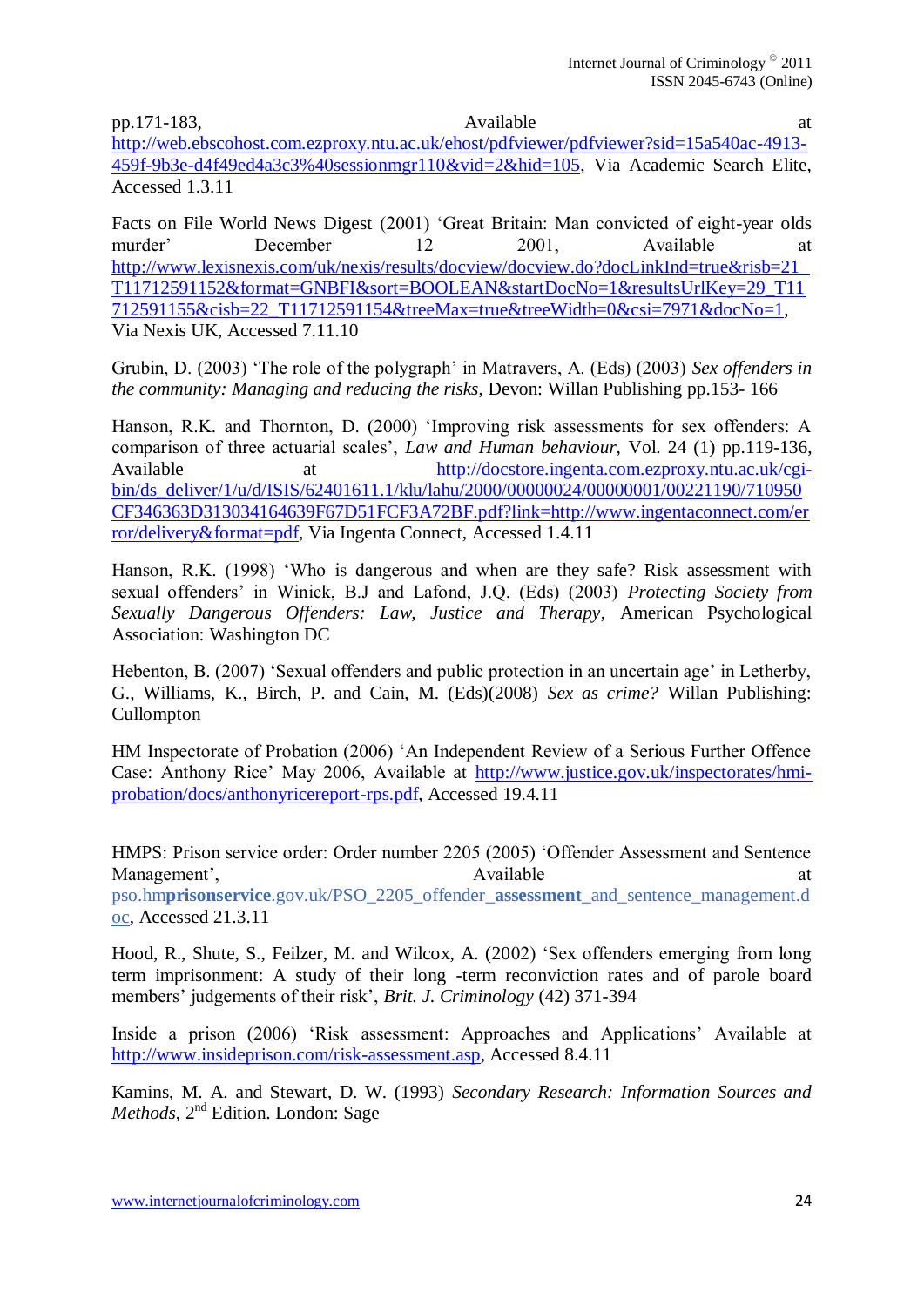pp.171-183, and a set of the set of the set of the set of the set of the set of the set of the set of the set of the set of the set of the set of the set of the set of the set of the set of the set of the set of the set of [http://web.ebscohost.com.ezproxy.ntu.ac.uk/ehost/pdfviewer/pdfviewer?sid=15a540ac-4913-](http://web.ebscohost.com.ezproxy.ntu.ac.uk/ehost/pdfviewer/pdfviewer?sid=15a540ac-4913-459f-9b3e-d4f49ed4a3c3%40sessionmgr110&vid=2&hid=105) [459f-9b3e-d4f49ed4a3c3%40sessionmgr110&vid=2&hid=105,](http://web.ebscohost.com.ezproxy.ntu.ac.uk/ehost/pdfviewer/pdfviewer?sid=15a540ac-4913-459f-9b3e-d4f49ed4a3c3%40sessionmgr110&vid=2&hid=105) Via Academic Search Elite, Accessed 1.3.11

Facts on File World News Digest (2001) "Great Britain: Man convicted of eight-year olds murder' December 12 2001, Available at [http://www.lexisnexis.com/uk/nexis/results/docview/docview.do?docLinkInd=true&risb=21\\_](http://www.lexisnexis.com/uk/nexis/results/docview/docview.do?docLinkInd=true&risb=21_T11712591152&format=GNBFI&sort=BOOLEAN&startDocNo=1&resultsUrlKey=29_T11712591155&cisb=22_T11712591154&treeMax=true&treeWidth=0&csi=7971&docNo=1) [T11712591152&format=GNBFI&sort=BOOLEAN&startDocNo=1&resultsUrlKey=29\\_T11](http://www.lexisnexis.com/uk/nexis/results/docview/docview.do?docLinkInd=true&risb=21_T11712591152&format=GNBFI&sort=BOOLEAN&startDocNo=1&resultsUrlKey=29_T11712591155&cisb=22_T11712591154&treeMax=true&treeWidth=0&csi=7971&docNo=1) [712591155&cisb=22\\_T11712591154&treeMax=true&treeWidth=0&csi=7971&docNo=1,](http://www.lexisnexis.com/uk/nexis/results/docview/docview.do?docLinkInd=true&risb=21_T11712591152&format=GNBFI&sort=BOOLEAN&startDocNo=1&resultsUrlKey=29_T11712591155&cisb=22_T11712591154&treeMax=true&treeWidth=0&csi=7971&docNo=1) Via Nexis UK, Accessed 7.11.10

Grubin, D. (2003) "The role of the polygraph" in Matravers, A. (Eds) (2003) *Sex offenders in the community: Managing and reducing the risks*, Devon: Willan Publishing pp.153- 166

Hanson, R.K. and Thornton, D. (2000) "Improving risk assessments for sex offenders: A comparison of three actuarial scales", *Law and Human behaviour,* Vol. 24 (1) pp.119-136, Available at [http://docstore.ingenta.com.ezproxy.ntu.ac.uk/cgi](http://docstore.ingenta.com.ezproxy.ntu.ac.uk/cgi-bin/ds_deliver/1/u/d/ISIS/62401611.1/klu/lahu/2000/00000024/00000001/00221190/710950CF346363D313034164639F67D51FCF3A72BF.pdf?link=http://www.ingentaconnect.com/error/delivery&format=pdf)[bin/ds\\_deliver/1/u/d/ISIS/62401611.1/klu/lahu/2000/00000024/00000001/00221190/710950](http://docstore.ingenta.com.ezproxy.ntu.ac.uk/cgi-bin/ds_deliver/1/u/d/ISIS/62401611.1/klu/lahu/2000/00000024/00000001/00221190/710950CF346363D313034164639F67D51FCF3A72BF.pdf?link=http://www.ingentaconnect.com/error/delivery&format=pdf) [CF346363D313034164639F67D51FCF3A72BF.pdf?link=http://www.ingentaconnect.com/er](http://docstore.ingenta.com.ezproxy.ntu.ac.uk/cgi-bin/ds_deliver/1/u/d/ISIS/62401611.1/klu/lahu/2000/00000024/00000001/00221190/710950CF346363D313034164639F67D51FCF3A72BF.pdf?link=http://www.ingentaconnect.com/error/delivery&format=pdf) [ror/delivery&format=pdf,](http://docstore.ingenta.com.ezproxy.ntu.ac.uk/cgi-bin/ds_deliver/1/u/d/ISIS/62401611.1/klu/lahu/2000/00000024/00000001/00221190/710950CF346363D313034164639F67D51FCF3A72BF.pdf?link=http://www.ingentaconnect.com/error/delivery&format=pdf) Via Ingenta Connect, Accessed 1.4.11

Hanson, R.K. (1998) "Who is dangerous and when are they safe? Risk assessment with sexual offenders" in Winick, B.J and Lafond, J.Q. (Eds) (2003) *Protecting Society from Sexually Dangerous Offenders: Law, Justice and Therapy*, American Psychological Association: Washington DC

Hebenton, B. (2007) 'Sexual offenders and public protection in an uncertain age' in Letherby, G., Williams, K., Birch, P. and Cain, M. (Eds)(2008) *Sex as crime?* Willan Publishing: Cullompton

HM Inspectorate of Probation (2006) "An Independent Review of a Serious Further Offence Case: Anthony Rice" May 2006, Available at [http://www.justice.gov.uk/inspectorates/hmi](http://www.justice.gov.uk/inspectorates/hmi-probation/docs/anthonyricereport-rps.pdf)[probation/docs/anthonyricereport-rps.pdf,](http://www.justice.gov.uk/inspectorates/hmi-probation/docs/anthonyricereport-rps.pdf) Accessed 19.4.11

HMPS: Prison service order: Order number 2205 (2005) "Offender Assessment and Sentence Management', and a state at a state at a state at a state and a state at a state at a state at a state at a state at a state at a state at a state at a state at a state at a state at a state at a state at a state at a stat pso.hm**prisonservice**.gov.uk/PSO\_2205\_offender\_**assessment**\_and\_sentence\_management.d oc, Accessed 21.3.11

Hood, R., Shute, S., Feilzer, M. and Wilcox, A. (2002) "Sex offenders emerging from long term imprisonment: A study of their long -term reconviction rates and of parole board members' judgements of their risk', *Brit. J. Criminology* (42) 371-394

Inside a prison (2006) "Risk assessment: Approaches and Applications" Available at [http://www.insideprison.com/risk-assessment.asp,](http://www.insideprison.com/risk-assessment.asp) Accessed 8.4.11

Kamins, M. A. and Stewart, D. W. (1993) *Secondary Research: Information Sources and Methods*, 2<sup>nd</sup> Edition. London: Sage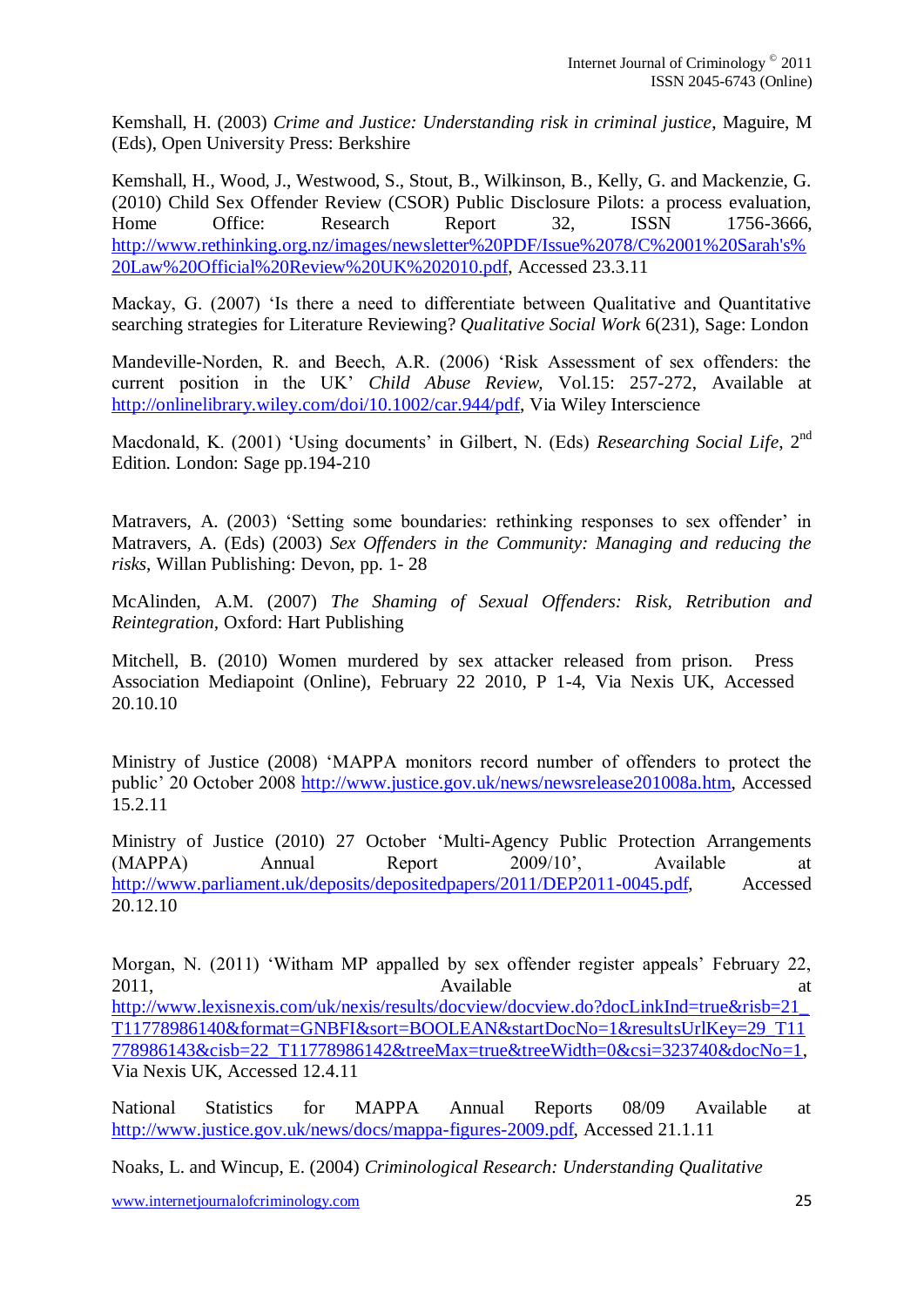Kemshall, H. (2003) *Crime and Justice: Understanding risk in criminal justice*, Maguire, M (Eds), Open University Press: Berkshire

Kemshall, H., Wood, J., Westwood, S., Stout, B., Wilkinson, B., Kelly, G. and Mackenzie, G. (2010) Child Sex Offender Review (CSOR) Public Disclosure Pilots: a process evaluation, Home Office: Research Report 32, ISSN 1756-3666, [http://www.rethinking.org.nz/images/newsletter%20PDF/Issue%2078/C%2001%20Sarah's%](http://www.rethinking.org.nz/images/newsletter%20PDF/Issue%2078/C%2001%20Sarah) [20Law%20Official%20Review%20UK%202010.pdf,](http://www.rethinking.org.nz/images/newsletter%20PDF/Issue%2078/C%2001%20Sarah) Accessed 23.3.11

Mackay, G. (2007) "Is there a need to differentiate between Qualitative and Quantitative searching strategies for Literature Reviewing? *Qualitative Social Work* 6(231)*,* Sage: London

Mandeville-Norden, R. and Beech, A.R. (2006) "Risk Assessment of sex offenders: the current position in the UK" *Child Abuse Review,* Vol.15: 257-272, Available at [http://onlinelibrary.wiley.com/doi/10.1002/car.944/pdf,](http://onlinelibrary.wiley.com/doi/10.1002/car.944/pdf) Via Wiley Interscience

Macdonald, K. (2001) 'Using documents' in Gilbert, N. (Eds) *Researching Social Life*, 2<sup>nd</sup> Edition. London: Sage pp.194-210

Matravers, A. (2003) "Setting some boundaries: rethinking responses to sex offender" in Matravers, A. (Eds) (2003) *Sex Offenders in the Community: Managing and reducing the risks*, Willan Publishing: Devon, pp. 1- 28

McAlinden, A.M. (2007) *The Shaming of Sexual Offenders: Risk, Retribution and Reintegration,* Oxford: Hart Publishing

Mitchell, B. (2010) Women murdered by sex attacker released from prison. Press Association Mediapoint (Online), February 22 2010, P 1-4, Via Nexis UK, Accessed 20.10.10

Ministry of Justice (2008) "MAPPA monitors record number of offenders to protect the public" 20 October 2008 [http://www.justice.gov.uk/news/newsrelease201008a.htm,](http://www.justice.gov.uk/news/newsrelease201008a.htm) Accessed 15.2.11

Ministry of Justice (2010) 27 October "Multi-Agency Public Protection Arrangements (MAPPA) Annual Report 2009/10", Available at [http://www.parliament.uk/deposits/depositedpapers/2011/DEP2011-0045.pdf,](http://www.parliament.uk/deposits/depositedpapers/2011/DEP2011-0045.pdf) Accessed 20.12.10

Morgan, N. (2011) 'Witham MP appalled by sex offender register appeals' February 22, 2011, Available at [http://www.lexisnexis.com/uk/nexis/results/docview/docview.do?docLinkInd=true&risb=21\\_](http://www.lexisnexis.com/uk/nexis/results/docview/docview.do?docLinkInd=true&risb=21_T11778986140&format=GNBFI&sort=BOOLEAN&startDocNo=1&resultsUrlKey=29_T11778986143&cisb=22_T11778986142&treeMax=true&treeWidth=0&csi=323740&docNo=1) [T11778986140&format=GNBFI&sort=BOOLEAN&startDocNo=1&resultsUrlKey=29\\_T11](http://www.lexisnexis.com/uk/nexis/results/docview/docview.do?docLinkInd=true&risb=21_T11778986140&format=GNBFI&sort=BOOLEAN&startDocNo=1&resultsUrlKey=29_T11778986143&cisb=22_T11778986142&treeMax=true&treeWidth=0&csi=323740&docNo=1) [778986143&cisb=22\\_T11778986142&treeMax=true&treeWidth=0&csi=323740&docNo=1,](http://www.lexisnexis.com/uk/nexis/results/docview/docview.do?docLinkInd=true&risb=21_T11778986140&format=GNBFI&sort=BOOLEAN&startDocNo=1&resultsUrlKey=29_T11778986143&cisb=22_T11778986142&treeMax=true&treeWidth=0&csi=323740&docNo=1) Via Nexis UK, Accessed 12.4.11

National Statistics for MAPPA Annual Reports 08/09 Available at [http://www.justice.gov.uk/news/docs/mappa-figures-2009.pdf,](http://www.justice.gov.uk/news/docs/mappa-figures-2009.pdf) Accessed 21.1.11

Noaks, L. and Wincup, E. (2004) *Criminological Research: Understanding Qualitative*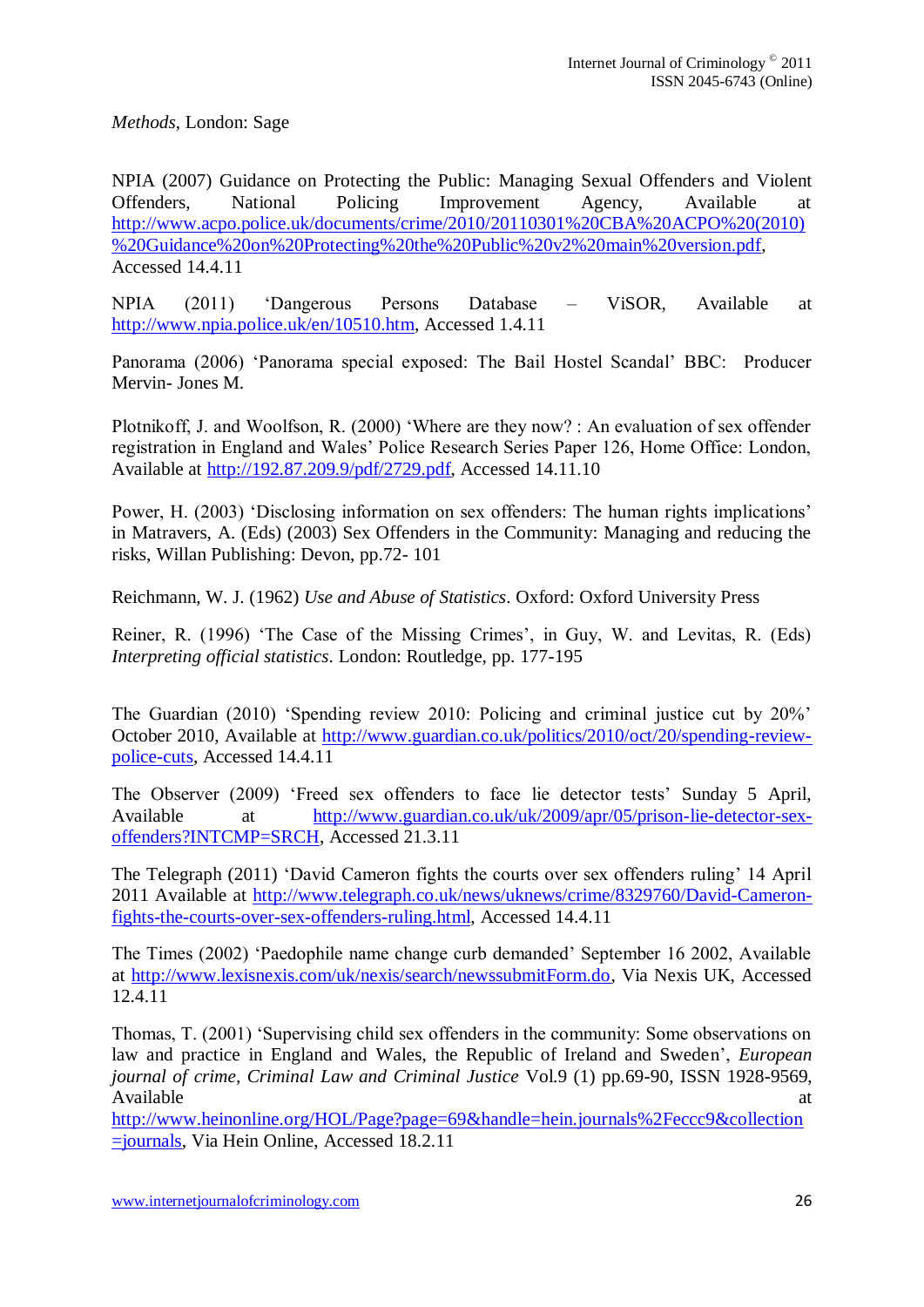*Methods*, London: Sage

NPIA (2007) Guidance on Protecting the Public: Managing Sexual Offenders and Violent Offenders, National Policing Improvement Agency, Available at [http://www.acpo.police.uk/documents/crime/2010/20110301%20CBA%20ACPO%20\(2010\)](http://www.acpo.police.uk/documents/crime/2010/20110301%20CBA%20ACPO%20(2010)%20Guidance%20on%20Protecting%20the%20Public%20v2%20main%20version.pdf) [%20Guidance%20on%20Protecting%20the%20Public%20v2%20main%20version.pdf,](http://www.acpo.police.uk/documents/crime/2010/20110301%20CBA%20ACPO%20(2010)%20Guidance%20on%20Protecting%20the%20Public%20v2%20main%20version.pdf) Accessed 14.4.11

NPIA (2011) "Dangerous Persons Database – ViSOR, Available at [http://www.npia.police.uk/en/10510.htm,](http://www.npia.police.uk/en/10510.htm) Accessed 1.4.11

Panorama (2006) "Panorama special exposed: The Bail Hostel Scandal" BBC: Producer Mervin- Jones M.

Plotnikoff, J. and Woolfson, R. (2000) "Where are they now? : An evaluation of sex offender registration in England and Wales" Police Research Series Paper 126, Home Office: London, Available at [http://192.87.209.9/pdf/2729.pdf,](http://192.87.209.9/pdf/2729.pdf) Accessed 14.11.10

Power, H. (2003) 'Disclosing information on sex offenders: The human rights implications' in Matravers, A. (Eds) (2003) Sex Offenders in the Community: Managing and reducing the risks, Willan Publishing: Devon, pp.72- 101

Reichmann, W. J. (1962) *Use and Abuse of Statistics*. Oxford: Oxford University Press

Reiner, R. (1996) 'The Case of the Missing Crimes', in Guy, W. and Levitas, R. (Eds) *Interpreting official statistics*. London: Routledge, pp. 177-195

The Guardian (2010) 'Spending review 2010: Policing and criminal justice cut by 20%' October 2010, Available at [http://www.guardian.co.uk/politics/2010/oct/20/spending-review](http://www.guardian.co.uk/politics/2010/oct/20/spending-review-police-cuts)[police-cuts,](http://www.guardian.co.uk/politics/2010/oct/20/spending-review-police-cuts) Accessed 14.4.11

The Observer (2009) "Freed sex offenders to face lie detector tests" Sunday 5 April, Available at [http://www.guardian.co.uk/uk/2009/apr/05/prison-lie-detector-sex](http://www.guardian.co.uk/uk/2009/apr/05/prison-lie-detector-sex-offenders?INTCMP=SRCH)[offenders?INTCMP=SRCH,](http://www.guardian.co.uk/uk/2009/apr/05/prison-lie-detector-sex-offenders?INTCMP=SRCH) Accessed 21.3.11

The Telegraph (2011) "David Cameron fights the courts over sex offenders ruling" 14 April 2011 Available at [http://www.telegraph.co.uk/news/uknews/crime/8329760/David-Cameron](http://www.telegraph.co.uk/news/uknews/crime/8329760/David-Cameron-fights-the-courts-over-sex-offenders-ruling.html)[fights-the-courts-over-sex-offenders-ruling.html,](http://www.telegraph.co.uk/news/uknews/crime/8329760/David-Cameron-fights-the-courts-over-sex-offenders-ruling.html) Accessed 14.4.11

The Times (2002) "Paedophile name change curb demanded" September 16 2002, Available at [http://www.lexisnexis.com/uk/nexis/search/newssubmitForm.do,](http://www.lexisnexis.com/uk/nexis/search/newssubmitForm.do) Via Nexis UK, Accessed 12.4.11

Thomas, T. (2001) "Supervising child sex offenders in the community: Some observations on law and practice in England and Wales, the Republic of Ireland and Sweden", *European journal of crime, Criminal Law and Criminal Justice* Vol.9 (1) pp.69-90, ISSN 1928-9569, Available at a strategy and the strategy of the strategy and the strategy and the strategy and the strategy and the strategy and the strategy and the strategy and the strategy and the strategy and the strategy and the stra

[http://www.heinonline.org/HOL/Page?page=69&handle=hein.journals%2Feccc9&collection](http://www.heinonline.org/HOL/Page?page=69&handle=hein.journals%2Feccc9&collection=journals) [=journals,](http://www.heinonline.org/HOL/Page?page=69&handle=hein.journals%2Feccc9&collection=journals) Via Hein Online, Accessed 18.2.11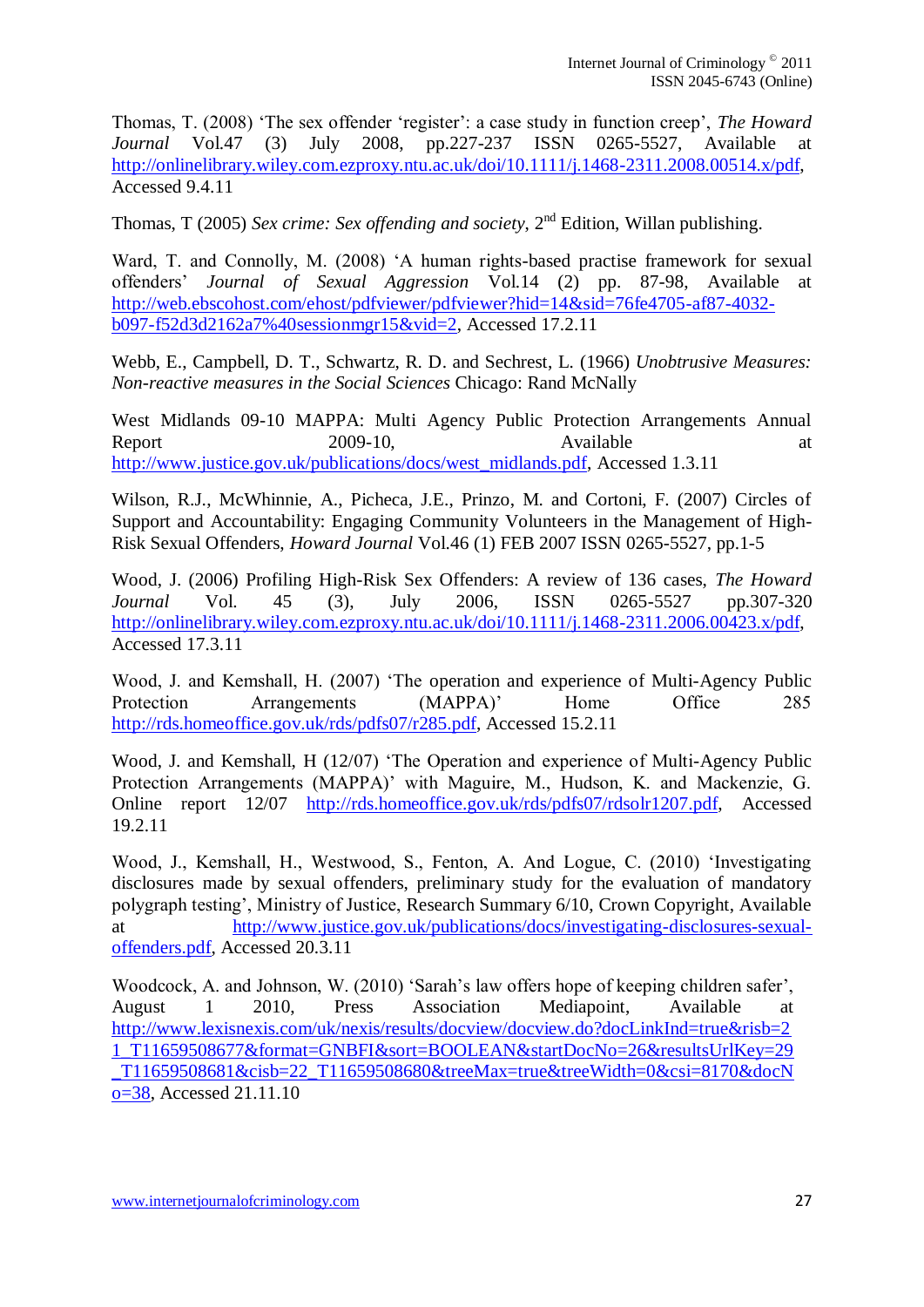Thomas, T. (2008) 'The sex offender 'register': a case study in function creep', *The Howard Journal* Vol.47 (3) July 2008, pp.227-237 ISSN 0265-5527, Available at [http://onlinelibrary.wiley.com.ezproxy.ntu.ac.uk/doi/10.1111/j.1468-2311.2008.00514.x/pdf,](http://onlinelibrary.wiley.com.ezproxy.ntu.ac.uk/doi/10.1111/j.1468-2311.2008.00514.x/pdf) Accessed 9.4.11

Thomas, T (2005) *Sex crime: Sex offending and society*, 2<sup>nd</sup> Edition, Willan publishing.

Ward, T. and Connolly, M. (2008) 'A human rights-based practise framework for sexual offenders" *Journal of Sexual Aggression* Vol.14 (2) pp. 87-98, Available at [http://web.ebscohost.com/ehost/pdfviewer/pdfviewer?hid=14&sid=76fe4705-af87-4032](http://web.ebscohost.com/ehost/pdfviewer/pdfviewer?hid=14&sid=76fe4705-af87-4032-b097-f52d3d2162a7%40sessionmgr15&vid=2) [b097-f52d3d2162a7%40sessionmgr15&vid=2,](http://web.ebscohost.com/ehost/pdfviewer/pdfviewer?hid=14&sid=76fe4705-af87-4032-b097-f52d3d2162a7%40sessionmgr15&vid=2) Accessed 17.2.11

Webb, E., Campbell, D. T., Schwartz, R. D. and Sechrest, L*.* (1966) *Unobtrusive Measures: Non-reactive measures in the Social Sciences* Chicago: Rand McNally

West Midlands 09-10 MAPPA: Multi Agency Public Protection Arrangements Annual Report 2009-10, Available at [http://www.justice.gov.uk/publications/docs/west\\_midlands.pdf,](http://www.justice.gov.uk/publications/docs/west_midlands.pdf) Accessed 1.3.11

Wilson, R.J., McWhinnie, A., Picheca, J.E., Prinzo, M. and Cortoni, F. (2007) Circles of Support and Accountability: Engaging Community Volunteers in the Management of High-Risk Sexual Offenders, *Howard Journal* Vol.46 (1) FEB 2007 ISSN 0265-5527, pp.1-5

Wood, J. (2006) Profiling High-Risk Sex Offenders: A review of 136 cases, *The Howard Journal* Vol. 45 (3), July 2006, ISSN 0265-5527 pp.307-320 [http://onlinelibrary.wiley.com.ezproxy.ntu.ac.uk/doi/10.1111/j.1468-2311.2006.00423.x/pdf,](http://onlinelibrary.wiley.com.ezproxy.ntu.ac.uk/doi/10.1111/j.1468-2311.2006.00423.x/pdf) Accessed 17.3.11

Wood, J. and Kemshall, H. (2007) "The operation and experience of Multi-Agency Public Protection Arrangements (MAPPA)' Home Office 285 [http://rds.homeoffice.gov.uk/rds/pdfs07/r285.pdf,](http://rds.homeoffice.gov.uk/rds/pdfs07/r285.pdf) Accessed 15.2.11

Wood, J. and Kemshall, H (12/07) 'The Operation and experience of Multi-Agency Public Protection Arrangements (MAPPA)' with Maguire, M., Hudson, K. and Mackenzie, G. Online report 12/07 [http://rds.homeoffice.gov.uk/rds/pdfs07/rdsolr1207.pdf,](http://rds.homeoffice.gov.uk/rds/pdfs07/rdsolr1207.pdf) Accessed 19.2.11

Wood, J., Kemshall, H., Westwood, S., Fenton, A. And Logue, C. (2010) "Investigating disclosures made by sexual offenders, preliminary study for the evaluation of mandatory polygraph testing", Ministry of Justice, Research Summary 6/10, Crown Copyright, Available at [http://www.justice.gov.uk/publications/docs/investigating-disclosures-sexual](http://www.justice.gov.uk/publications/docs/investigating-disclosures-sexual-offenders.pdf)[offenders.pdf,](http://www.justice.gov.uk/publications/docs/investigating-disclosures-sexual-offenders.pdf) Accessed 20.3.11

Woodcock, A. and Johnson, W. (2010) 'Sarah's law offers hope of keeping children safer', August 1 2010, Press Association Mediapoint, Available at [http://www.lexisnexis.com/uk/nexis/results/docview/docview.do?docLinkInd=true&risb=2](http://www.lexisnexis.com/uk/nexis/results/docview/docview.do?docLinkInd=true&risb=21_T11659508677&format=GNBFI&sort=BOOLEAN&startDocNo=26&resultsUrlKey=29_T11659508681&cisb=22_T11659508680&treeMax=true&treeWidth=0&csi=8170&docNo=38) [1\\_T11659508677&format=GNBFI&sort=BOOLEAN&startDocNo=26&resultsUrlKey=29](http://www.lexisnexis.com/uk/nexis/results/docview/docview.do?docLinkInd=true&risb=21_T11659508677&format=GNBFI&sort=BOOLEAN&startDocNo=26&resultsUrlKey=29_T11659508681&cisb=22_T11659508680&treeMax=true&treeWidth=0&csi=8170&docNo=38) [\\_T11659508681&cisb=22\\_T11659508680&treeMax=true&treeWidth=0&csi=8170&docN](http://www.lexisnexis.com/uk/nexis/results/docview/docview.do?docLinkInd=true&risb=21_T11659508677&format=GNBFI&sort=BOOLEAN&startDocNo=26&resultsUrlKey=29_T11659508681&cisb=22_T11659508680&treeMax=true&treeWidth=0&csi=8170&docNo=38) [o=38,](http://www.lexisnexis.com/uk/nexis/results/docview/docview.do?docLinkInd=true&risb=21_T11659508677&format=GNBFI&sort=BOOLEAN&startDocNo=26&resultsUrlKey=29_T11659508681&cisb=22_T11659508680&treeMax=true&treeWidth=0&csi=8170&docNo=38) Accessed 21.11.10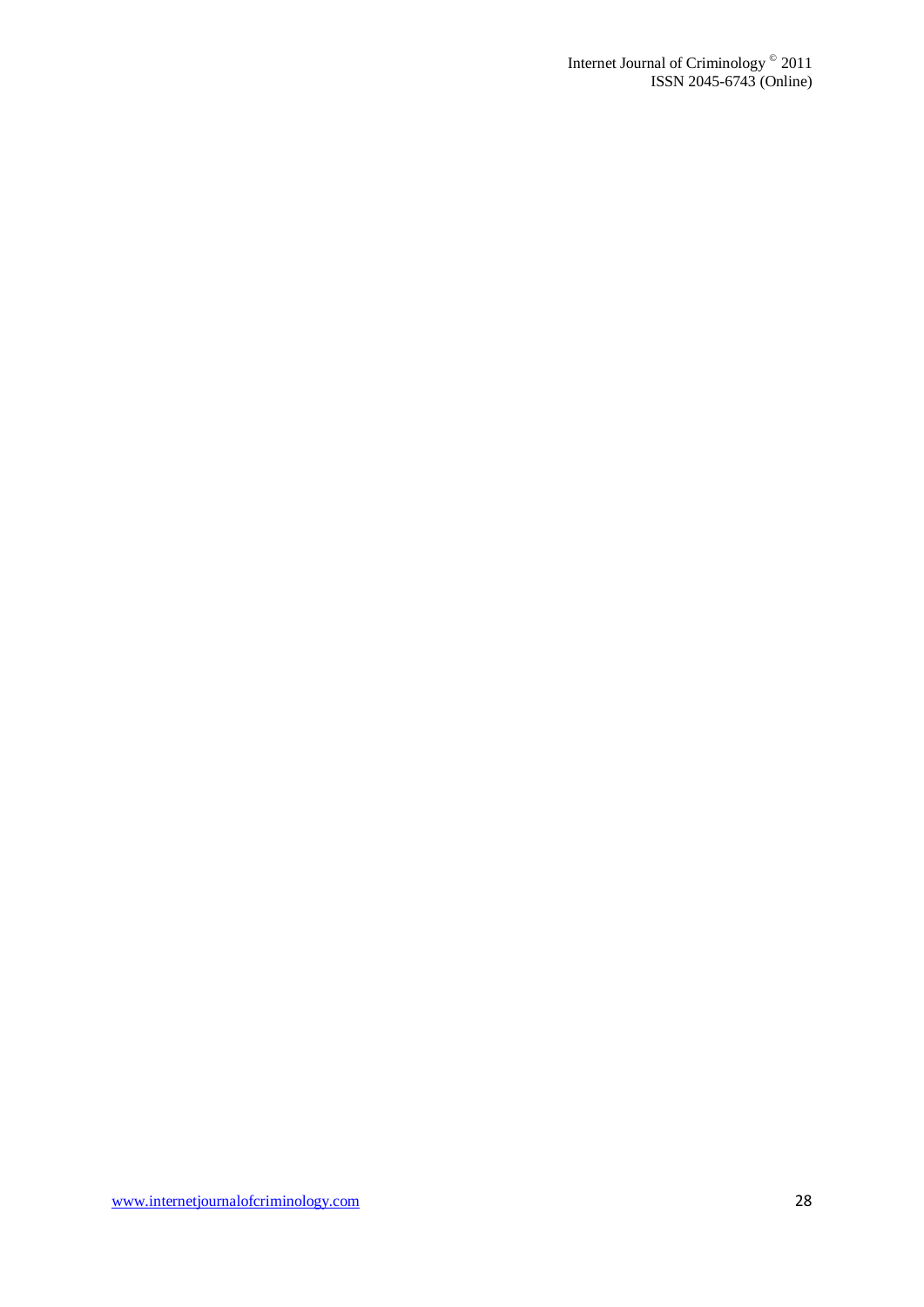Internet Journal of Criminology © 2011 ISSN 2045-6743 (Online)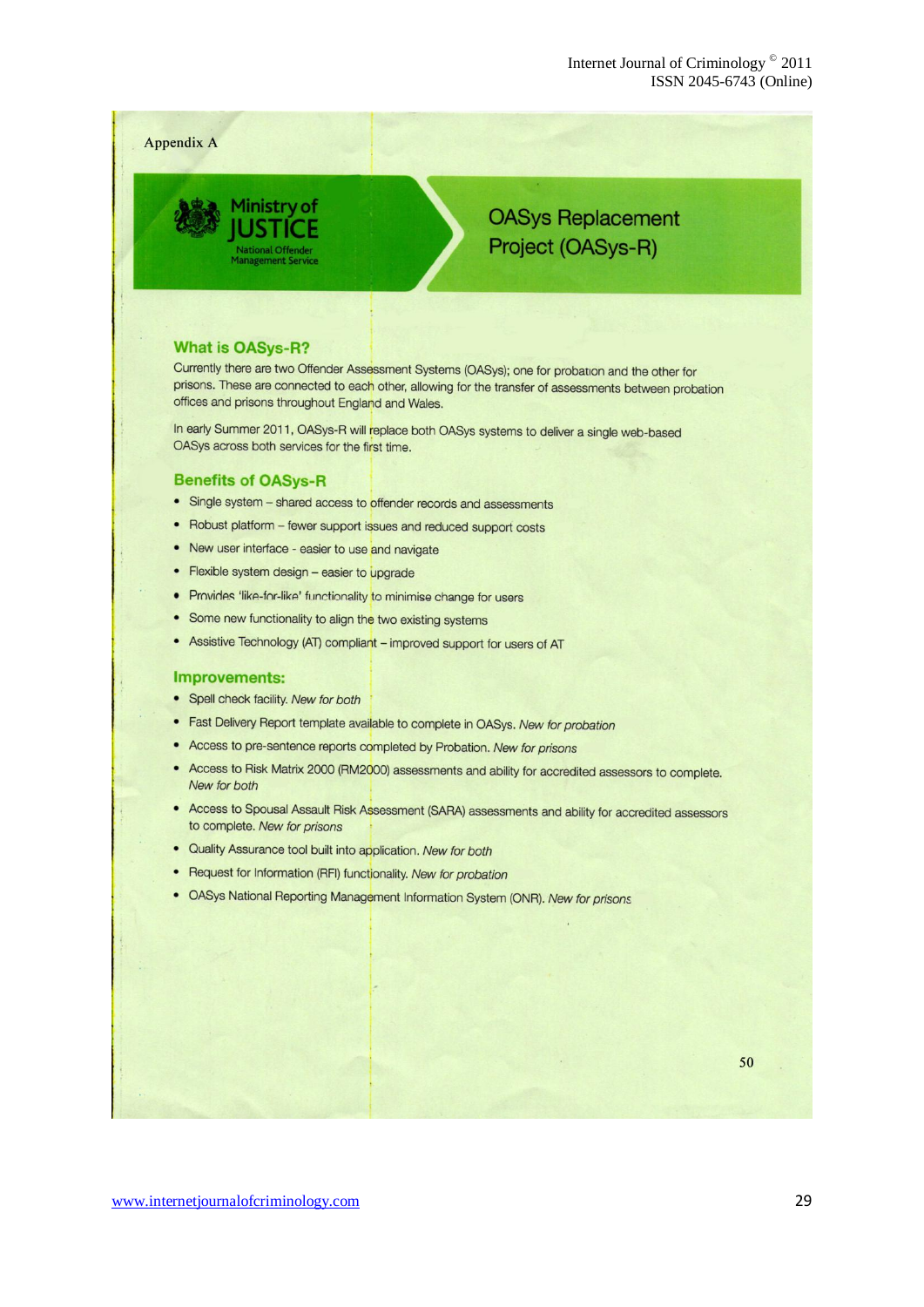Internet Journal of Criminology © 2011 ISSN 2045-6743 (Online)

Appendix A



## **OASys Replacement** Project (OASys-R)

#### **What is OASys-R?**

Currently there are two Offender Assessment Systems (OASys); one for probation and the other for prisons. These are connected to each other, allowing for the transfer of assessments between probation offices and prisons throughout England and Wales.

In early Summer 2011, OASys-R will replace both OASys systems to deliver a single web-based OASys across both services for the first time.

#### **Benefits of OASys-R**

- Single system shared access to offender records and assessments
- Robust platform fewer support issues and reduced support costs
- New user interface easier to use and navigate
- Flexible system design easier to upgrade
- · Provides 'like-for-like' functionality to minimise change for users
- Some new functionality to align the two existing systems
- Assistive Technology (AT) compliant improved support for users of AT

#### Improvements:

- Spell check facility. New for both
- Fast Delivery Report template available to complete in OASys. New for probation
- Access to pre-sentence reports completed by Probation. New for prisons
- Access to Risk Matrix 2000 (RM2000) assessments and ability for accredited assessors to complete. New for both
- Access to Spousal Assault Risk Assessment (SARA) assessments and ability for accredited assessors to complete. New for prisons
- Quality Assurance tool built into application. New for both
- Request for Information (RFI) functionality. New for probation
- OASys National Reporting Management Information System (ONR). New for prisons